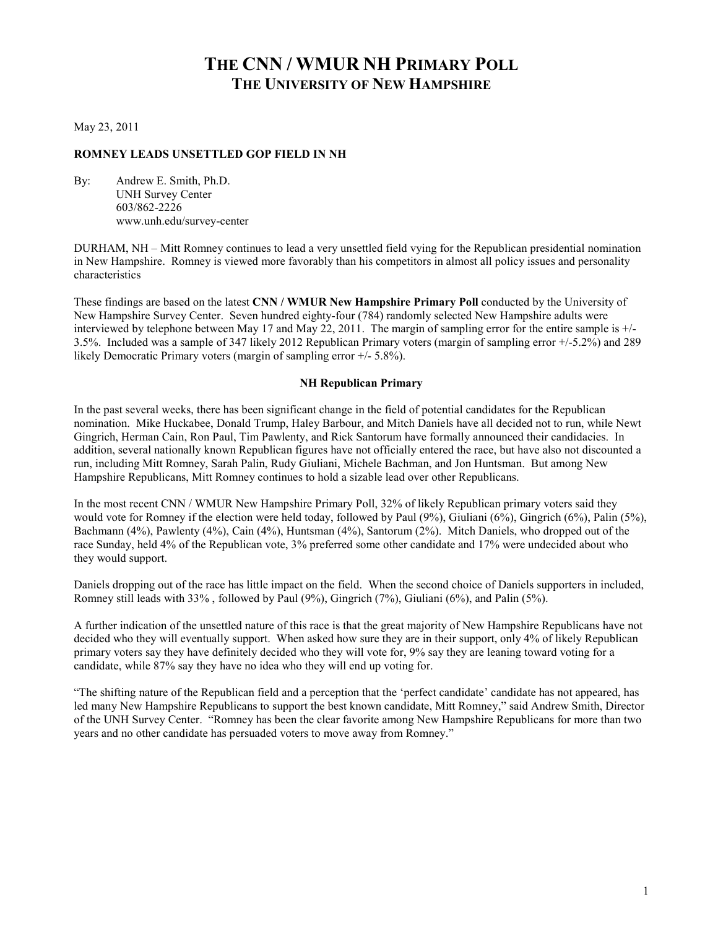# **THE CNN / WMUR NH PRIMARY POLL THE UNIVERSITY OF NEW HAMPSHIRE**

May 23, 2011

## **ROMNEY LEADS UNSETTLED GOP FIELD IN NH**

By: Andrew E. Smith, Ph.D. UNH Survey Center 603/862-2226 www.unh.edu/survey-center

DURHAM, NH – Mitt Romney continues to lead a very unsettled field vying for the Republican presidential nomination in New Hampshire. Romney is viewed more favorably than his competitors in almost all policy issues and personality characteristics

These findings are based on the latest **CNN / WMUR New Hampshire Primary Poll** conducted by the University of New Hampshire Survey Center. Seven hundred eighty-four (784) randomly selected New Hampshire adults were interviewed by telephone between May 17 and May 22, 2011. The margin of sampling error for the entire sample is +/- 3.5%. Included was a sample of 347 likely 2012 Republican Primary voters (margin of sampling error +/-5.2%) and 289 likely Democratic Primary voters (margin of sampling error +/- 5.8%).

#### **NH Republican Primary**

In the past several weeks, there has been significant change in the field of potential candidates for the Republican nomination. Mike Huckabee, Donald Trump, Haley Barbour, and Mitch Daniels have all decided not to run, while Newt Gingrich, Herman Cain, Ron Paul, Tim Pawlenty, and Rick Santorum have formally announced their candidacies. In addition, several nationally known Republican figures have not officially entered the race, but have also not discounted a run, including Mitt Romney, Sarah Palin, Rudy Giuliani, Michele Bachman, and Jon Huntsman. But among New Hampshire Republicans, Mitt Romney continues to hold a sizable lead over other Republicans.

In the most recent CNN / WMUR New Hampshire Primary Poll, 32% of likely Republican primary voters said they would vote for Romney if the election were held today, followed by Paul (9%), Giuliani (6%), Gingrich (6%), Palin (5%), Bachmann (4%), Pawlenty (4%), Cain (4%), Huntsman (4%), Santorum (2%). Mitch Daniels, who dropped out of the race Sunday, held 4% of the Republican vote, 3% preferred some other candidate and 17% were undecided about who they would support.

Daniels dropping out of the race has little impact on the field. When the second choice of Daniels supporters in included, Romney still leads with 33% , followed by Paul (9%), Gingrich (7%), Giuliani (6%), and Palin (5%).

A further indication of the unsettled nature of this race is that the great majority of New Hampshire Republicans have not decided who they will eventually support. When asked how sure they are in their support, only 4% of likely Republican primary voters say they have definitely decided who they will vote for, 9% say they are leaning toward voting for a candidate, while 87% say they have no idea who they will end up voting for.

"The shifting nature of the Republican field and a perception that the 'perfect candidate' candidate has not appeared, has led many New Hampshire Republicans to support the best known candidate, Mitt Romney," said Andrew Smith, Director of the UNH Survey Center. "Romney has been the clear favorite among New Hampshire Republicans for more than two years and no other candidate has persuaded voters to move away from Romney."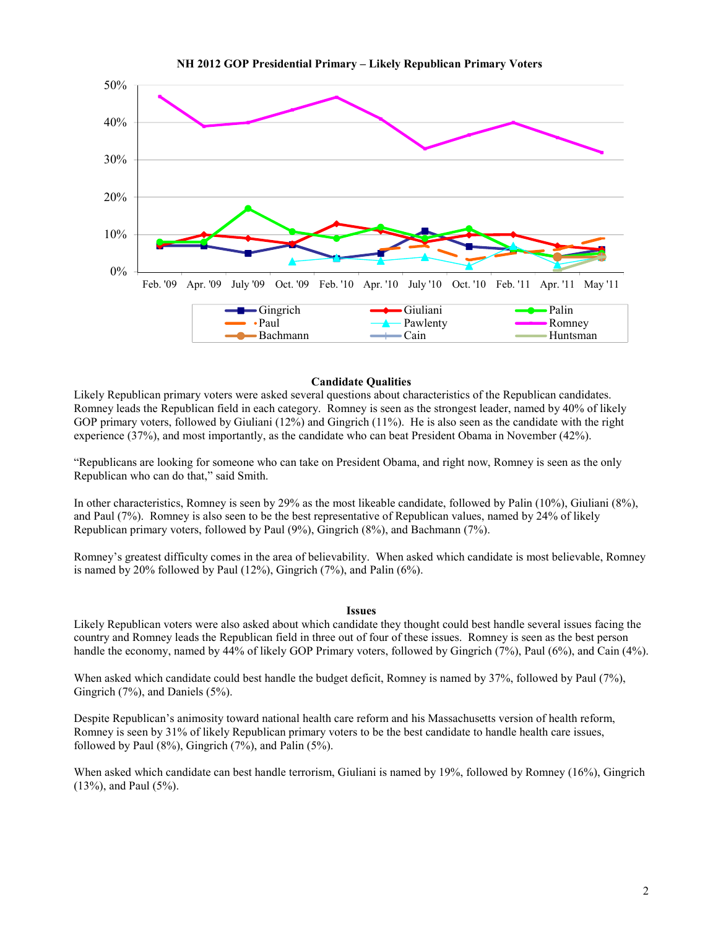



### **Candidate Qualities**

Likely Republican primary voters were asked several questions about characteristics of the Republican candidates. Romney leads the Republican field in each category. Romney is seen as the strongest leader, named by 40% of likely GOP primary voters, followed by Giuliani (12%) and Gingrich (11%). He is also seen as the candidate with the right experience (37%), and most importantly, as the candidate who can beat President Obama in November (42%).

"Republicans are looking for someone who can take on President Obama, and right now, Romney is seen as the only Republican who can do that," said Smith.

In other characteristics, Romney is seen by 29% as the most likeable candidate, followed by Palin (10%), Giuliani (8%), and Paul (7%). Romney is also seen to be the best representative of Republican values, named by 24% of likely Republican primary voters, followed by Paul (9%), Gingrich (8%), and Bachmann (7%).

Romney's greatest difficulty comes in the area of believability. When asked which candidate is most believable, Romney is named by 20% followed by Paul  $(12\%)$ , Gingrich  $(7\%)$ , and Palin  $(6\%)$ .

#### **Issues**

Likely Republican voters were also asked about which candidate they thought could best handle several issues facing the country and Romney leads the Republican field in three out of four of these issues. Romney is seen as the best person handle the economy, named by 44% of likely GOP Primary voters, followed by Gingrich (7%), Paul (6%), and Cain (4%).

When asked which candidate could best handle the budget deficit, Romney is named by 37%, followed by Paul (7%), Gingrich (7%), and Daniels (5%).

Despite Republican's animosity toward national health care reform and his Massachusetts version of health reform, Romney is seen by 31% of likely Republican primary voters to be the best candidate to handle health care issues, followed by Paul  $(8\%)$ , Gingrich  $(7\%)$ , and Palin  $(5\%)$ .

When asked which candidate can best handle terrorism, Giuliani is named by 19%, followed by Romney (16%), Gingrich (13%), and Paul (5%).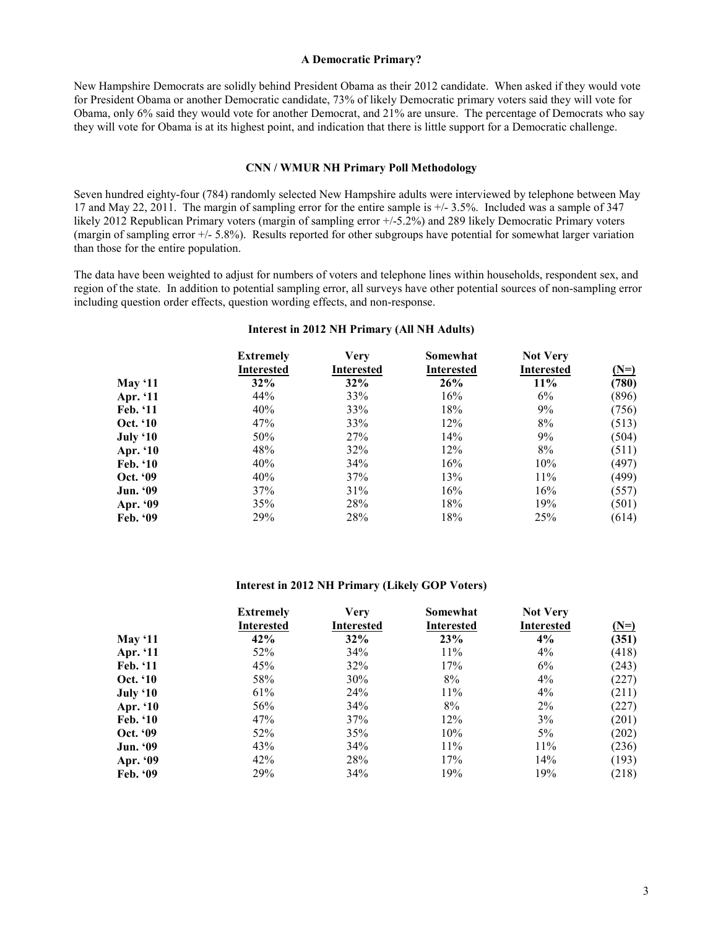#### **A Democratic Primary?**

New Hampshire Democrats are solidly behind President Obama as their 2012 candidate. When asked if they would vote for President Obama or another Democratic candidate, 73% of likely Democratic primary voters said they will vote for Obama, only 6% said they would vote for another Democrat, and 21% are unsure. The percentage of Democrats who say they will vote for Obama is at its highest point, and indication that there is little support for a Democratic challenge.

#### **CNN / WMUR NH Primary Poll Methodology**

Seven hundred eighty-four (784) randomly selected New Hampshire adults were interviewed by telephone between May 17 and May 22, 2011. The margin of sampling error for the entire sample is +/- 3.5%. Included was a sample of 347 likely 2012 Republican Primary voters (margin of sampling error +/-5.2%) and 289 likely Democratic Primary voters (margin of sampling error  $+/- 5.8\%$ ). Results reported for other subgroups have potential for somewhat larger variation than those for the entire population.

The data have been weighted to adjust for numbers of voters and telephone lines within households, respondent sex, and region of the state. In addition to potential sampling error, all surveys have other potential sources of non-sampling error including question order effects, question wording effects, and non-response.

### **Interest in 2012 NH Primary (All NH Adults)**

|                 | <b>Extremely</b>  | <b>Very</b>       | Somewhat          | <b>Not Very</b>   |        |
|-----------------|-------------------|-------------------|-------------------|-------------------|--------|
|                 | <b>Interested</b> | <b>Interested</b> | <b>Interested</b> | <b>Interested</b> | $(N=)$ |
| May $`11$       | 32%               | 32%               | 26%               | 11%               | (780)  |
| Apr. '11        | 44%               | 33%               | 16%               | 6%                | (896)  |
| Feb. '11        | 40%               | 33%               | 18%               | 9%                | (756)  |
| Oct. '10        | 47%               | 33%               | 12%               | 8%                | (513)  |
| July '10        | 50%               | 27%               | 14%               | 9%                | (504)  |
| Apr. '10        | 48%               | 32%               | 12%               | 8%                | (511)  |
| <b>Feb.</b> '10 | 40%               | 34%               | 16%               | 10%               | (497)  |
| Oct. '09        | 40%               | 37%               | 13%               | 11%               | (499)  |
| <b>Jun. '09</b> | 37%               | 31%               | 16%               | 16%               | (557)  |
| Apr. '09        | 35%               | 28%               | 18%               | 19%               | (501)  |
| Feb. '09        | 29%               | 28%               | 18%               | 25%               | (614)  |

#### **Interest in 2012 NH Primary (Likely GOP Voters)**

|                 | <b>Extremely</b>  | <b>Very</b> | Somewhat   | <b>Not Very</b>   |        |
|-----------------|-------------------|-------------|------------|-------------------|--------|
|                 | <b>Interested</b> | Interested  | Interested | <b>Interested</b> | $(N=)$ |
| May $`11$       | 42%               | 32%         | 23%        | 4%                | (351)  |
| Apr. '11        | 52%               | 34%         | 11%        | 4%                | (418)  |
| Feb. '11        | 45%               | 32%         | 17%        | 6%                | (243)  |
| Oct. '10        | 58%               | $30\%$      | 8%         | $4\%$             | (227)  |
| July '10        | 61%               | 24%         | 11%        | $4\%$             | (211)  |
| Apr. '10        | 56%               | 34%         | 8%         | $2\%$             | (227)  |
| Feb. '10        | 47%               | 37%         | 12%        | 3%                | (201)  |
| Oct. '09        | 52%               | 35%         | 10%        | $5\%$             | (202)  |
| <b>Jun. '09</b> | 43%               | 34%         | 11%        | 11%               | (236)  |
| Apr. '09        | 42%               | 28%         | 17%        | 14%               | (193)  |
| Feb. $99$       | 29%               | 34%         | 19%        | 19%               | (218)  |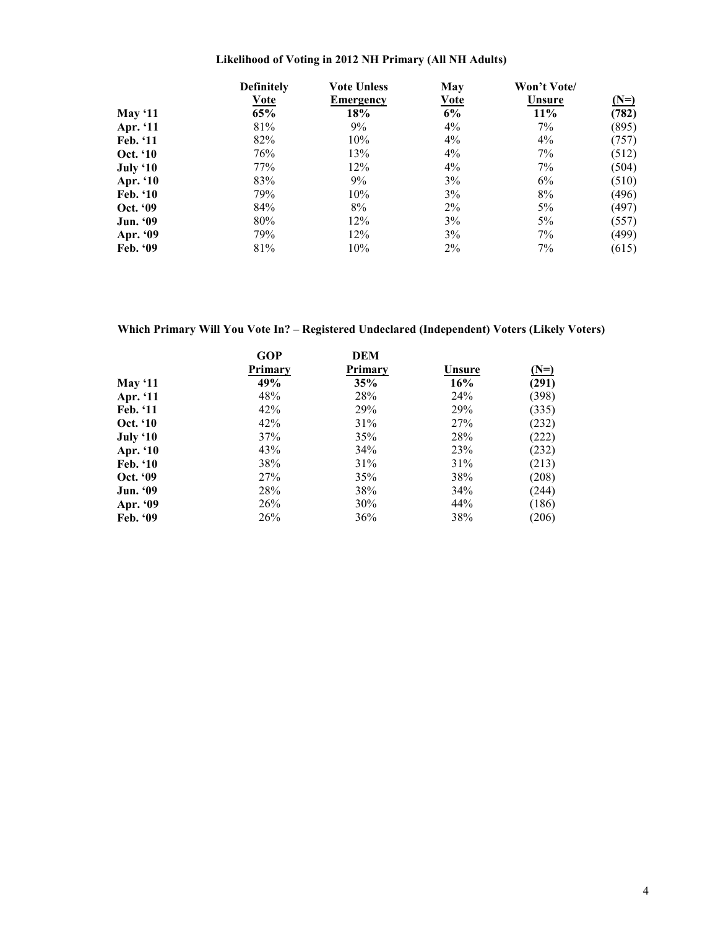## **Likelihood of Voting in 2012 NH Primary (All NH Adults)**

|                 | <b>Definitely</b> | <b>Vote Unless</b> | May         | Won't Vote/ |        |
|-----------------|-------------------|--------------------|-------------|-------------|--------|
|                 | <b>Vote</b>       | Emergency          | <u>Vote</u> | Unsure      | $(N=)$ |
| <b>May</b> '11  | 65%               | 18%                | 6%          | 11%         | (782)  |
| Apr. '11        | 81%               | 9%                 | $4\%$       | 7%          | (895)  |
| Feb. '11        | 82%               | 10%                | $4\%$       | 4%          | (757)  |
| <b>Oct.</b> '10 | 76%               | 13%                | $4\%$       | 7%          | (512)  |
| <b>July '10</b> | 77%               | 12%                | $4\%$       | 7%          | (504)  |
| Apr. '10        | 83%               | 9%                 | 3%          | 6%          | (510)  |
| Feb. '10        | 79%               | 10%                | 3%          | 8%          | (496)  |
| Oct. '09        | 84%               | 8%                 | $2\%$       | 5%          | (497)  |
| <b>Jun. '09</b> | 80%               | 12%                | 3%          | 5%          | (557)  |
| Apr. '09        | 79%               | 12%                | 3%          | 7%          | (499)  |
| Feb. $99$       | 81%               | 10%                | $2\%$       | 7%          | (615)  |

**Which Primary Will You Vote In? – Registered Undeclared (Independent) Voters (Likely Voters)** 

|                 | <b>GOP</b> | DEM     |        |        |
|-----------------|------------|---------|--------|--------|
|                 | Primary    | Primary | Unsure | $(N=)$ |
| May $11$        | 49%        | 35%     | 16%    | (291)  |
| Apr. '11        | 48%        | 28%     | 24%    | (398)  |
| Feb. '11        | 42%        | 29%     | 29%    | (335)  |
| Oct. '10        | 42%        | 31%     | 27%    | (232)  |
| July '10        | 37%        | 35%     | 28%    | (222)  |
| Apr. '10        | 43%        | 34%     | 23%    | (232)  |
| <b>Feb.</b> '10 | 38%        | 31%     | 31%    | (213)  |
| Oct. '09        | 27%        | 35%     | 38%    | (208)  |
| <b>Jun. '09</b> | 28%        | 38%     | 34%    | (244)  |
| Apr. '09        | 26%        | 30%     | 44%    | (186)  |
| Feb. $99$       | 26%        | 36%     | 38%    | (206)  |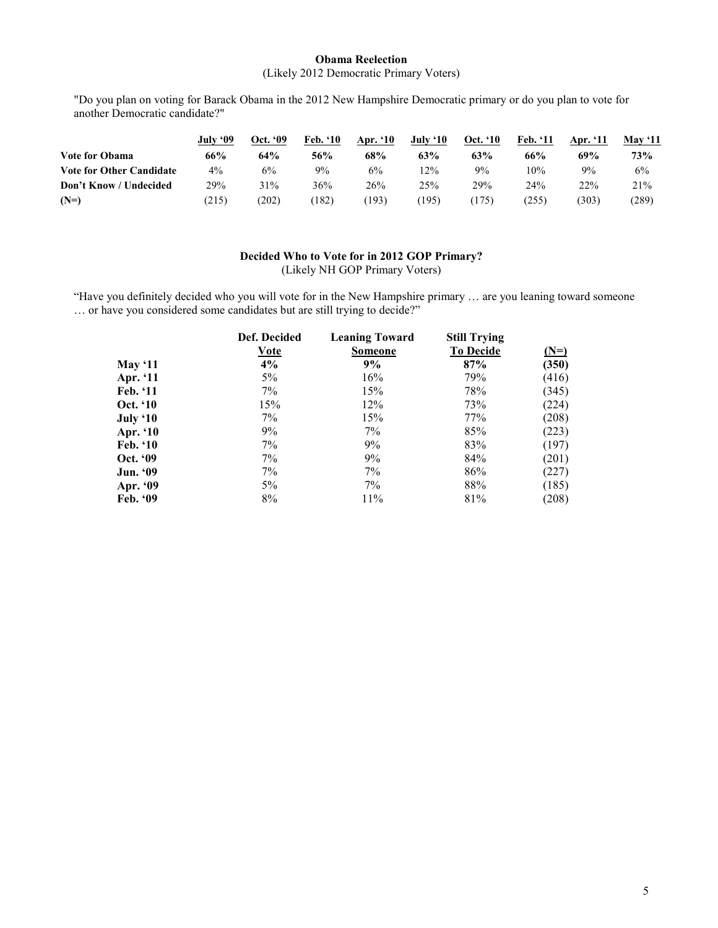### **Obama Reelection**  (Likely 2012 Democratic Primary Voters)

"Do you plan on voting for Barack Obama in the 2012 New Hampshire Democratic primary or do you plan to vote for another Democratic candidate?"

|                                 | July '09 | Oct. '09 | Feb. '10 | Apr. '10 | July '10 | <b>Oct.</b> '10 | Feb. '11 | Apr. '11 | May $`11$ |
|---------------------------------|----------|----------|----------|----------|----------|-----------------|----------|----------|-----------|
| <b>Vote for Obama</b>           | 66%      | 64%      | 56%      | 68%      | 63%      | 63%             | 66%      | 69%      | 73%       |
| <b>Vote for Other Candidate</b> | $4\%$    | 6%       | 9%       | 6%       | 12%      | 9%              | 10%      | 9%       | 6%        |
| Don't Know / Undecided          | 29%      | 31%      | 36%      | 26%      | 25%      | 29%             | 24%      | 22%      | 21%       |
| $(N=)$                          | (215)    | (202)    | (182)    | (193)    | 195)     | (175)           | (255)    | (303)    | (289)     |

### **Decided Who to Vote for in 2012 GOP Primary?**  (Likely NH GOP Primary Voters)

"Have you definitely decided who you will vote for in the New Hampshire primary … are you leaning toward someone … or have you considered some candidates but are still trying to decide?"

|                | Def. Decided | <b>Leaning Toward</b> | <b>Still Trying</b> |        |
|----------------|--------------|-----------------------|---------------------|--------|
|                | Vote         | <b>Someone</b>        | <b>To Decide</b>    | $(N=)$ |
| <b>May '11</b> | 4%           | 9%                    | 87%                 | (350)  |
| Apr. '11       | 5%           | 16%                   | 79%                 | (416)  |
| Feb. '11       | 7%           | 15%                   | 78%                 | (345)  |
| Oct. '10       | 15%          | 12%                   | 73%                 | (224)  |
| July '10       | $7\%$        | 15%                   | 77%                 | (208)  |
| Apr. '10       | 9%           | 7%                    | 85%                 | (223)  |
| Feb. '10       | 7%           | 9%                    | 83%                 | (197)  |
| Oct. '09       | 7%           | 9%                    | 84%                 | (201)  |
| Jun. '09       | 7%           | 7%                    | 86%                 | (227)  |
| Apr. '09       | 5%           | 7%                    | 88%                 | (185)  |
| Feb. '09       | 8%           | 11%                   | 81%                 | (208)  |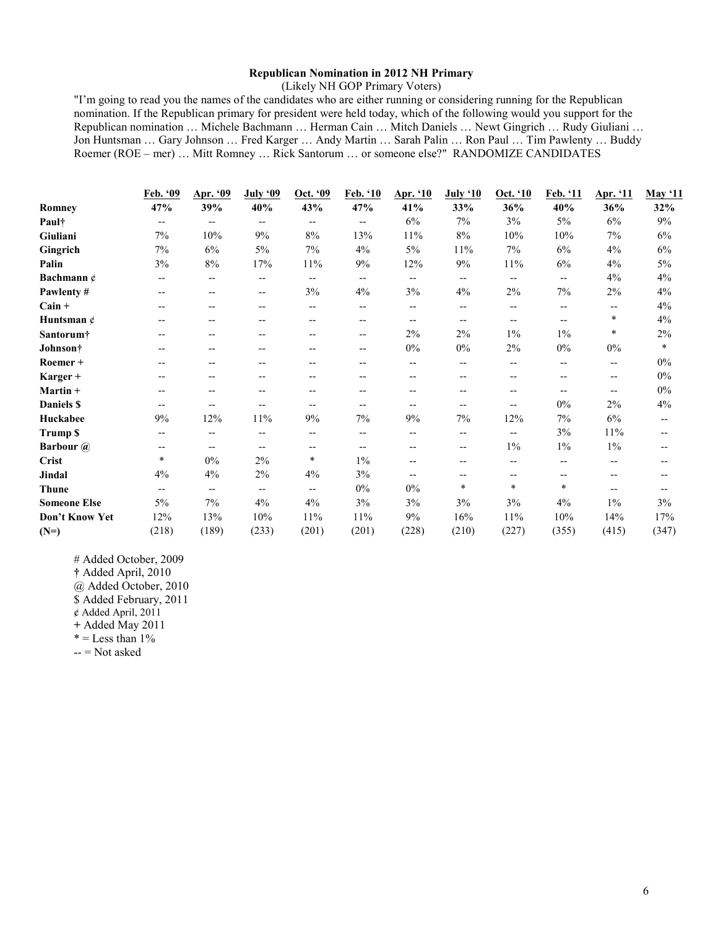### **Republican Nomination in 2012 NH Primary**

(Likely NH GOP Primary Voters)

"I'm going to read you the names of the candidates who are either running or considering running for the Republican nomination. If the Republican primary for president were held today, which of the following would you support for the Republican nomination … Michele Bachmann … Herman Cain … Mitch Daniels … Newt Gingrich … Rudy Giuliani … Jon Huntsman … Gary Johnson … Fred Karger … Andy Martin … Sarah Palin … Ron Paul … Tim Pawlenty … Buddy Roemer (ROE – mer) … Mitt Romney … Rick Santorum … or someone else?" RANDOMIZE CANDIDATES

|                       | Feb. '09                              | Apr. '09                 | <b>July '09</b>          | Oct. '09          | Feb. '10                 | <u>Apr. '10</u>          | <b>July '10</b>   | Oct. '10 | Feb. '11 | Apr. '11                 | <b>May '11</b>           |
|-----------------------|---------------------------------------|--------------------------|--------------------------|-------------------|--------------------------|--------------------------|-------------------|----------|----------|--------------------------|--------------------------|
| Romney                | 47%                                   | 39%                      | 40%                      | 43%               | 47%                      | 41%                      | 33%               | 36%      | 40%      | 36%                      | 32%                      |
| Paul†                 | $-$                                   | $\overline{\phantom{a}}$ | $- -$                    | $-$               | $\overline{\phantom{a}}$ | 6%                       | 7%                | 3%       | 5%       | 6%                       | 9%                       |
| Giuliani              | 7%                                    | 10%                      | 9%                       | 8%                | 13%                      | 11%                      | 8%                | 10%      | 10%      | 7%                       | 6%                       |
| Gingrich              | 7%                                    | 6%                       | 5%                       | 7%                | 4%                       | 5%                       | $11\%$            | 7%       | 6%       | 4%                       | 6%                       |
| Palin                 | 3%                                    | 8%                       | 17%                      | 11%               | 9%                       | 12%                      | 9%                | 11%      | 6%       | 4%                       | 5%                       |
| Bachmann $\phi$       | --                                    | $\overline{\phantom{a}}$ | $- -$                    | $\qquad \qquad -$ | $\overline{\phantom{a}}$ | $\overline{\phantom{a}}$ | $\qquad \qquad -$ | --       | $-$      | 4%                       | 4%                       |
| Pawlenty #            | $\overline{\phantom{a}}$              | $- -$                    | $\overline{\phantom{a}}$ | 3%                | 4%                       | 3%                       | 4%                | 2%       | 7%       | 2%                       | 4%                       |
| $Cain +$              | $\overline{\phantom{a}}$              | $\qquad \qquad -$        | $- -$                    | $- -$             | $\overline{\phantom{a}}$ | $\overline{\phantom{a}}$ | $- -$             | --       | $-$      | $\qquad \qquad -$        | 4%                       |
| Huntsman $\phi$       | $\overline{\phantom{m}}$              | $\qquad \qquad -$        | $- -$                    | $-$               | $-$                      | $\overline{\phantom{a}}$ | $- -$             | --       | $-$      | $\ast$                   | 4%                       |
| Santorum <sup>†</sup> | $\overline{\phantom{a}}$              | $\qquad \qquad -$        | $- -$                    | $-$               | $\overline{\phantom{a}}$ | 2%                       | 2%                | $1\%$    | $1\%$    | *                        | 2%                       |
| Johnson†              | $\hspace{0.05cm} \ldots$              | $\qquad \qquad -$        | $- -$                    | $-$               | $\overline{\phantom{a}}$ | 0%                       | $0\%$             | 2%       | 0%       | $0\%$                    | $\ast$                   |
| Roemer +              | $\overline{\phantom{a}}$              | $\qquad \qquad -$        | $- -$                    | $-$               | $-$                      | $\overline{\phantom{a}}$ | --                | --       | $-$      | $\overline{\phantom{m}}$ | $0\%$                    |
| Karger +              | $\hspace{0.05cm}$ – $\hspace{0.05cm}$ | $\qquad \qquad -$        | $- -$                    | $- -$             | $-$                      | $\overline{\phantom{a}}$ | $- -$             | --       | $-$      | $\overline{\phantom{m}}$ | $0\%$                    |
| Martin +              | $\overline{\phantom{a}}$              | $- -$                    | $- -$                    | $-$               | $-$                      | $-$                      | --                | --       | $-$      | $\overline{\phantom{m}}$ | $0\%$                    |
| Daniels \$            | $\overline{\phantom{a}}$              | $\overline{\phantom{a}}$ | --                       | $-$               | $-$                      | $\overline{\phantom{a}}$ | $- -$             | --       | 0%       | 2%                       | 4%                       |
| Huckabee              | 9%                                    | 12%                      | 11%                      | $9\%$             | $7\%$                    | 9%                       | 7%                | 12%      | 7%       | 6%                       | $\overline{\phantom{a}}$ |
| Trump \$              | $\overline{\phantom{m}}$              | $\qquad \qquad -$        | $-$                      | $-$               | $\overline{\phantom{a}}$ | $\overline{\phantom{a}}$ | $- -$             | --       | 3%       | 11%                      | $\overline{\phantom{a}}$ |
| <b>Barbour</b> @      | $\hspace{0.05cm}$ – $\hspace{0.05cm}$ | $\overline{\phantom{a}}$ | $-$                      | $-$               | $-$                      | $-$                      | $\qquad \qquad -$ | $1\%$    | $1\%$    | $1\%$                    | $- -$                    |
| Crist                 | $\ast$                                | 0%                       | 2%                       | $\ast$            | $1\%$                    | $\overline{\phantom{a}}$ | --                | $-$      | $- -$    | $\overline{\phantom{a}}$ | $- -$                    |
| Jindal                | 4%                                    | 4%                       | $2\%$                    | 4%                | 3%                       | $\overline{\phantom{a}}$ | --                | --       | $-$      | $-$                      | $-$                      |
| <b>Thune</b>          | $\overline{\phantom{a}}$              | $\overline{\phantom{a}}$ | $-$                      | $\qquad \qquad -$ | $0\%$                    | $0\%$                    | *                 | $\ast$   | $\ast$   | $-$                      | $-$                      |
| <b>Someone Else</b>   | 5%                                    | 7%                       | 4%                       | 4%                | 3%                       | 3%                       | 3%                | 3%       | 4%       | $1\%$                    | 3%                       |
| Don't Know Yet        | 12%                                   | 13%                      | 10%                      | 11%               | 11%                      | 9%                       | 16%               | 11%      | 10%      | 14%                      | 17%                      |
| $(N=)$                | (218)                                 | (189)                    | (233)                    | (201)             | (201)                    | (228)                    | (210)             | (227)    | (355)    | (415)                    | (347)                    |

# Added October, 2009

**†** Added April, 2010

@ Added October, 2010

\$ Added February, 2011

¢ Added April, 2011

**+** Added May 2011

 $* =$  Less than  $1\%$ 

 $--$  Not asked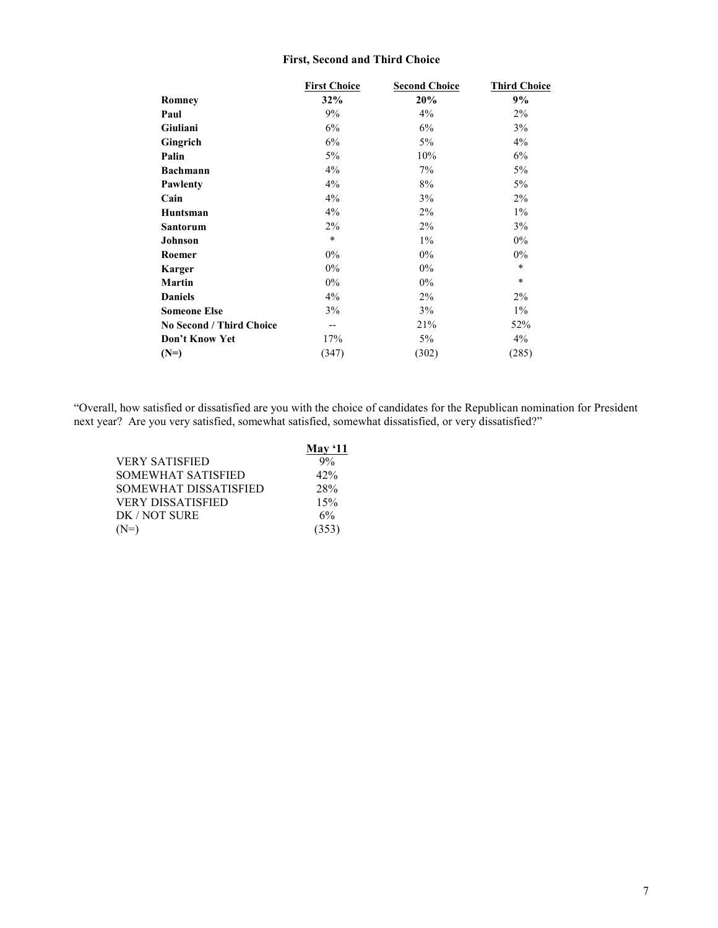## **First, Second and Third Choice**

|                          | <b>First Choice</b> | <b>Second Choice</b> | <b>Third Choice</b> |
|--------------------------|---------------------|----------------------|---------------------|
| Romney                   | 32%                 | 20%                  | 9%                  |
| Paul                     | 9%                  | 4%                   | 2%                  |
| Giuliani                 | 6%                  | 6%                   | 3%                  |
| Gingrich                 | 6%                  | 5%                   | 4%                  |
| Palin                    | 5%                  | 10%                  | 6%                  |
| <b>Bachmann</b>          | 4%                  | 7%                   | 5%                  |
| Pawlenty                 | 4%                  | 8%                   | 5%                  |
| Cain                     | 4%                  | 3%                   | 2%                  |
| Huntsman                 | 4%                  | 2%                   | $1\%$               |
| <b>Santorum</b>          | 2%                  | $2\%$                | 3%                  |
| Johnson                  | $\ast$              | $1\%$                | $0\%$               |
| Roemer                   | $0\%$               | $0\%$                | 0%                  |
| <b>Karger</b>            | $0\%$               | $0\%$                | $\ast$              |
| Martin                   | 0%                  | 0%                   | $\ast$              |
| <b>Daniels</b>           | 4%                  | $2\%$                | $2\%$               |
| <b>Someone Else</b>      | 3%                  | 3%                   | $1\%$               |
| No Second / Third Choice | $-$                 | 21%                  | 52%                 |
| Don't Know Yet           | 17%                 | 5%                   | 4%                  |
| $(N=)$                   | (347)               | (302)                | (285)               |

"Overall, how satisfied or dissatisfied are you with the choice of candidates for the Republican nomination for President next year? Are you very satisfied, somewhat satisfied, somewhat dissatisfied, or very dissatisfied?"

|                           | May $`11$ |
|---------------------------|-----------|
| VERY SATISFIED            | 9%        |
| <b>SOMEWHAT SATISFIED</b> | 42%       |
| SOMEWHAT DISSATISFIED     | 28%       |
| <b>VERY DISSATISFIED</b>  | 15%       |
| DK / NOT SURE             | 6%        |
| 'N=)                      | (353)     |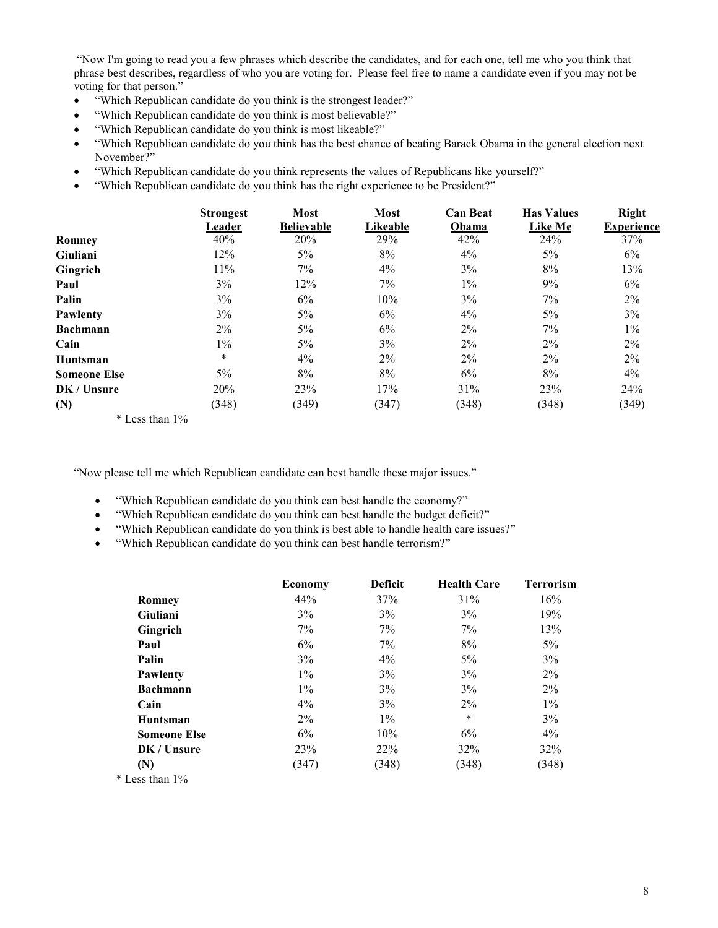"Now I'm going to read you a few phrases which describe the candidates, and for each one, tell me who you think that phrase best describes, regardless of who you are voting for. Please feel free to name a candidate even if you may not be voting for that person."

- "Which Republican candidate do you think is the strongest leader?"
- "Which Republican candidate do you think is most believable?"
- "Which Republican candidate do you think is most likeable?"
- "Which Republican candidate do you think has the best chance of beating Barack Obama in the general election next November?"
- "Which Republican candidate do you think represents the values of Republicans like yourself?"
- "Which Republican candidate do you think has the right experience to be President?"

|                                               | <b>Strongest</b><br>Leader    | <b>Most</b><br><b>Believable</b> | <b>Most</b><br>Likeable | <b>Can Beat</b><br>Obama | <b>Has Values</b><br><b>Like Me</b> | Right<br><b>Experience</b> |
|-----------------------------------------------|-------------------------------|----------------------------------|-------------------------|--------------------------|-------------------------------------|----------------------------|
| <b>Romney</b>                                 | 40%                           | 20%                              | 29%                     | 42%                      | 24%                                 | 37%                        |
| <b>Giuliani</b>                               | 12%                           | 5%                               | 8%                      | $4\%$                    | 5%                                  | 6%                         |
| Gingrich                                      | 11%                           | 7%                               | 4%                      | 3%                       | 8%                                  | 13%                        |
| Paul                                          | 3%                            | 12%                              | 7%                      | $1\%$                    | 9%                                  | 6%                         |
| Palin                                         | 3%                            | 6%                               | 10%                     | 3%                       | 7%                                  | $2\%$                      |
| Pawlenty                                      | 3%                            | 5%                               | 6%                      | $4\%$                    | 5%                                  | 3%                         |
| <b>Bachmann</b>                               | $2\%$                         | 5%                               | 6%                      | $2\%$                    | $7\%$                               | $1\%$                      |
| Cain                                          | $1\%$                         | 5%                               | 3%                      | $2\%$                    | $2\%$                               | $2\%$                      |
| Huntsman                                      | $\ast$                        | 4%                               | $2\%$                   | $2\%$                    | $2\%$                               | $2\%$                      |
| <b>Someone Else</b>                           | 5%                            | 8%                               | 8%                      | 6%                       | 8%                                  | 4%                         |
| DK / Unsure                                   | 20%                           | 23%                              | 17%                     | 31%                      | 23%                                 | 24%                        |
| (N)<br>$\mathbf{A}$ . The set of $\mathbf{A}$ | (348)<br>$\sim$ $\sim$ $\sim$ | (349)                            | (347)                   | (348)                    | (348)                               | (349)                      |

\* Less than 1%

"Now please tell me which Republican candidate can best handle these major issues."

- "Which Republican candidate do you think can best handle the economy?"
- "Which Republican candidate do you think can best handle the budget deficit?"
- "Which Republican candidate do you think is best able to handle health care issues?"
- "Which Republican candidate do you think can best handle terrorism?"

|                     | <b>Economy</b> | <b>Deficit</b> | <b>Health Care</b> | <b>Terrorism</b> |
|---------------------|----------------|----------------|--------------------|------------------|
| Romney              | 44%            | 37%            | 31%                | 16%              |
| Giuliani            | 3%             | 3%             | 3%                 | 19%              |
| Gingrich            | $7\%$          | 7%             | 7%                 | 13%              |
| Paul                | 6%             | 7%             | 8%                 | $5\%$            |
| Palin               | 3%             | $4\%$          | $5\%$              | 3%               |
| <b>Pawlenty</b>     | $1\%$          | 3%             | 3%                 | $2\%$            |
| <b>Bachmann</b>     | $1\%$          | 3%             | 3%                 | $2\%$            |
| Cain                | $4\%$          | 3%             | $2\%$              | $1\%$            |
| Huntsman            | $2\%$          | $1\%$          | $\ast$             | 3%               |
| <b>Someone Else</b> | 6%             | 10%            | 6%                 | 4%               |
| DK / Unsure         | <b>23%</b>     | $22\%$         | 32%                | 32%              |
| (N)                 | (347)          | (348)          | (348)              | (348)            |
| * Less than 1%      |                |                |                    |                  |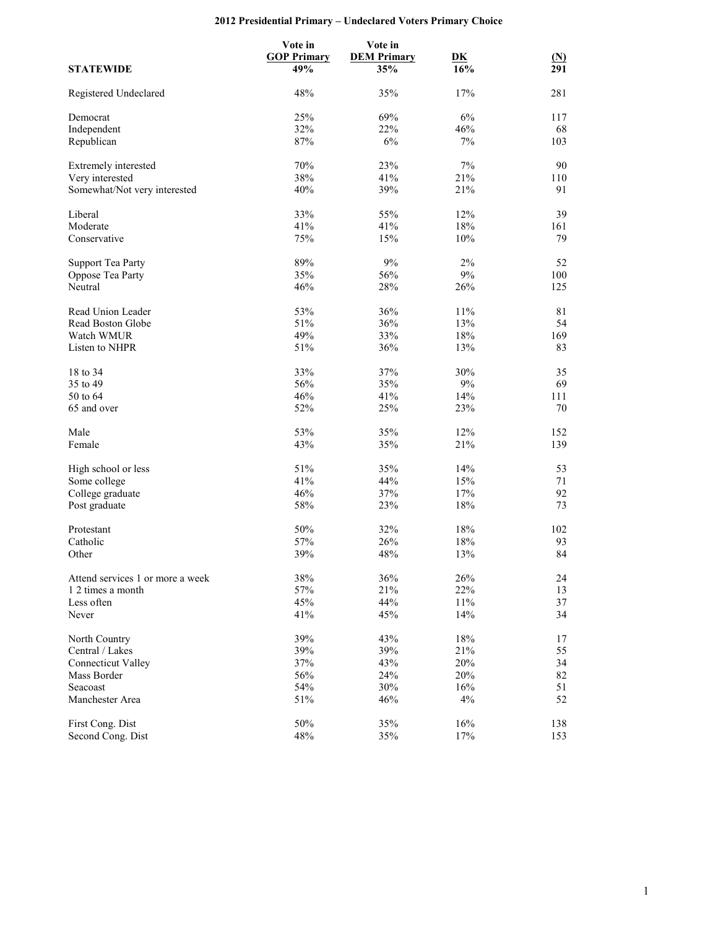## **2012 Presidential Primary – Undeclared Voters Primary Choice**

|                                  | Vote in            | Vote in            |                           |                  |
|----------------------------------|--------------------|--------------------|---------------------------|------------------|
|                                  | <b>GOP Primary</b> | <b>DEM Primary</b> | $\overline{\mathbf{D}}$ K | <u>(N)</u>       |
| <b>STATEWIDE</b>                 | 49%                | 35%                | 16%                       | $\overline{291}$ |
| Registered Undeclared            | 48%                | 35%                | 17%                       | 281              |
| Democrat                         | 25%                | 69%                | $6\%$                     | 117              |
| Independent                      | 32%                | 22%                | 46%                       | 68               |
| Republican                       | 87%                | 6%                 | 7%                        | 103              |
| Extremely interested             | 70%                | 23%                | $7\%$                     | 90               |
| Very interested                  | 38%                | 41%                | 21%                       | 110              |
| Somewhat/Not very interested     | 40%                | 39%                | 21%                       | 91               |
| Liberal                          | 33%                | 55%                | 12%                       | 39               |
| Moderate                         | 41%                | 41%                | $18\%$                    | 161              |
| Conservative                     | 75%                | 15%                | 10%                       | 79               |
| <b>Support Tea Party</b>         | 89%                | 9%                 | 2%                        | 52               |
| Oppose Tea Party                 | 35%                | 56%                | $9\%$                     | 100              |
| Neutral                          | 46%                | 28%                | 26%                       | 125              |
|                                  |                    |                    |                           |                  |
| Read Union Leader                | 53%                | 36%                | 11%                       | 81               |
| Read Boston Globe                | 51%                | 36%                | 13%                       | 54               |
| Watch WMUR                       | 49%                | 33%                | $18\%$                    | 169              |
| Listen to NHPR                   | 51%                | 36%                | 13%                       | 83               |
| 18 to 34                         | 33%                | 37%                | 30%                       | 35               |
| 35 to 49                         | 56%                | 35%                | $9\%$                     | 69               |
| 50 to 64                         | 46%                | 41%                | 14%                       | 111              |
| 65 and over                      | 52%                | 25%                | 23%                       | 70               |
| Male                             | 53%                | 35%                | 12%                       | 152              |
| Female                           | 43%                | 35%                | 21%                       | 139              |
|                                  |                    |                    |                           |                  |
| High school or less              | 51%                | 35%                | 14%                       | 53               |
| Some college                     | 41%                | 44%                | 15%                       | 71               |
| College graduate                 | 46%                | 37%                | 17%                       | 92               |
| Post graduate                    | 58%                | 23%                | 18%                       | 73               |
| Protestant                       | $50\%$             | 32%                | 18%                       | 102              |
| Catholic                         | 57%                | 26%                | $18\%$                    | 93               |
| Other                            | 39%                | 48%                | 13%                       | 84               |
| Attend services 1 or more a week | 38%                | 36%                | 26%                       | 24               |
| 1 2 times a month                | 57%                | 21%                | 22%                       | 13               |
| Less often                       | 45%                | 44%                | $11\%$                    | 37               |
| Never                            | 41%                | 45%                | 14%                       | 34               |
| North Country                    | 39%                | 43%                | 18%                       | 17               |
| Central / Lakes                  | 39%                | 39%                | 21%                       | 55               |
| <b>Connecticut Valley</b>        | 37%                | 43%                | 20%                       | 34               |
|                                  | 56%                | 24%                |                           |                  |
| Mass Border                      |                    |                    | 20%                       | 82               |
| Seacoast                         | 54%                | 30%                | 16%                       | 51               |
| Manchester Area                  | 51%                | 46%                | $4\%$                     | 52               |
| First Cong. Dist                 | 50%                | 35%                | 16%                       | 138              |
| Second Cong. Dist                | 48%                | 35%                | 17%                       | 153              |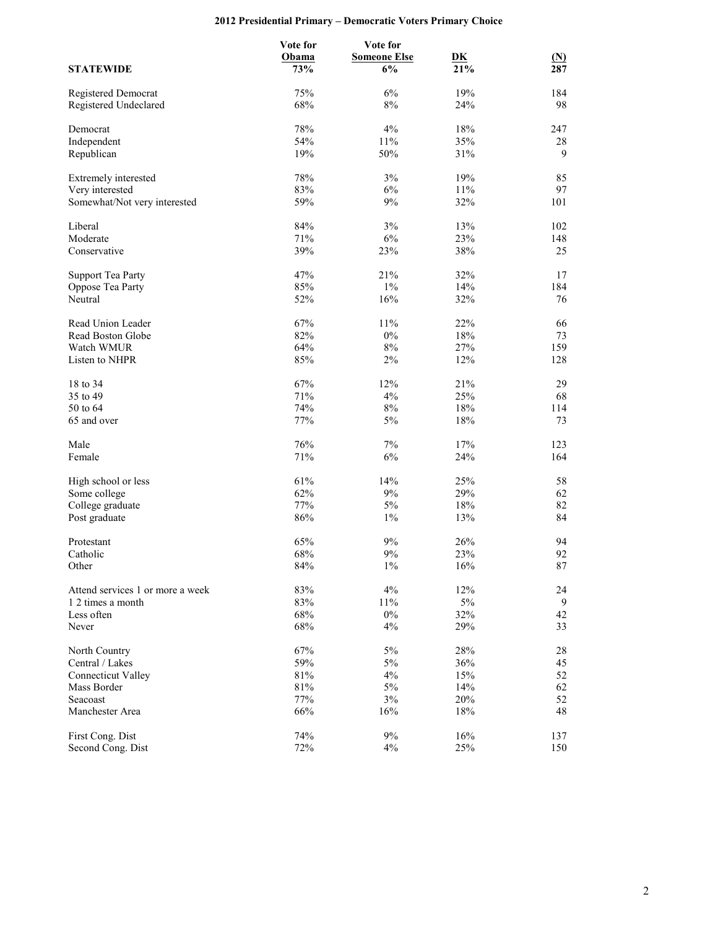## **2012 Presidential Primary – Democratic Voters Primary Choice**

|                                  | Vote for | Vote for            |           |            |
|----------------------------------|----------|---------------------|-----------|------------|
|                                  | Obama    | <b>Someone Else</b> | <u>DK</u> | <u>(N)</u> |
| <b>STATEWIDE</b>                 | 73%      | 6%                  | 21%       | 287        |
| Registered Democrat              | 75%      | 6%                  | 19%       | 184        |
| Registered Undeclared            | 68%      | $8\%$               | 24%       | 98         |
| Democrat                         | 78%      | 4%                  | 18%       | 247        |
| Independent                      | 54%      | 11%                 | 35%       | 28         |
| Republican                       | 19%      | 50%                 | 31%       | 9          |
| Extremely interested             | 78%      | 3%                  | 19%       | 85         |
| Very interested                  | 83%      | 6%                  | 11%       | 97         |
| Somewhat/Not very interested     | 59%      | 9%                  | 32%       | 101        |
| Liberal                          | 84%      | $3\%$               | 13%       | 102        |
| Moderate                         | 71%      | $6\%$               | 23%       | 148        |
| Conservative                     | 39%      | 23%                 | 38%       | 25         |
| <b>Support Tea Party</b>         | 47%      | 21%                 | 32%       | 17         |
| Oppose Tea Party                 | 85%      | $1\%$               | 14%       | 184        |
| Neutral                          | 52%      | 16%                 | 32%       | 76         |
| Read Union Leader                | 67%      | 11%                 | 22%       | 66         |
| Read Boston Globe                | 82%      | $0\%$               | $18\%$    | 73         |
| Watch WMUR                       | 64%      | $8\%$               | 27%       | 159        |
| Listen to NHPR                   | 85%      | 2%                  | 12%       | 128        |
| 18 to 34                         | 67%      | 12%                 | 21%       | 29         |
| 35 to 49                         | 71%      | 4%                  | 25%       | 68         |
| 50 to 64                         | 74%      | $8\%$               | 18%       | 114        |
| 65 and over                      | 77%      | 5%                  | 18%       | 73         |
| Male                             | 76%      | 7%                  | 17%       | 123        |
| Female                           | 71%      | 6%                  | 24%       | 164        |
| High school or less              | 61%      | 14%                 | 25%       | 58         |
| Some college                     | 62%      | 9%                  | 29%       | 62         |
| College graduate                 | 77%      | 5%                  | 18%       | 82         |
| Post graduate                    | 86%      | $1\%$               | 13%       | 84         |
| Protestant                       | 65%      | 9%                  | 26%       | 94         |
| Catholic                         | 68%      | 9%                  | 23%       | 92         |
| Other                            | 84%      | $1\%$               | 16%       | $\rm 87$   |
| Attend services 1 or more a week | 83%      | 4%                  | 12%       | 24         |
| 1 2 times a month                | 83%      | 11%                 | $5\%$     | 9          |
| Less often                       | 68%      | $0\%$               | 32%       | 42         |
| Never                            | 68%      | 4%                  | 29%       | 33         |
| North Country                    | 67%      | $5\%$               | $28\%$    | 28         |
| Central / Lakes                  | 59%      | 5%                  | 36%       | 45         |
| <b>Connecticut Valley</b>        | 81%      | $4\%$               | 15%       | 52         |
| Mass Border                      | 81%      | $5\%$               | 14%       | 62         |
| Seacoast                         | 77%      | $3\%$               | $20\%$    | 52         |
| Manchester Area                  | 66%      | 16%                 | 18%       | 48         |
| First Cong. Dist                 | 74%      | $9\%$               | 16%       | 137        |
| Second Cong. Dist                | 72%      | 4%                  | 25%       | 150        |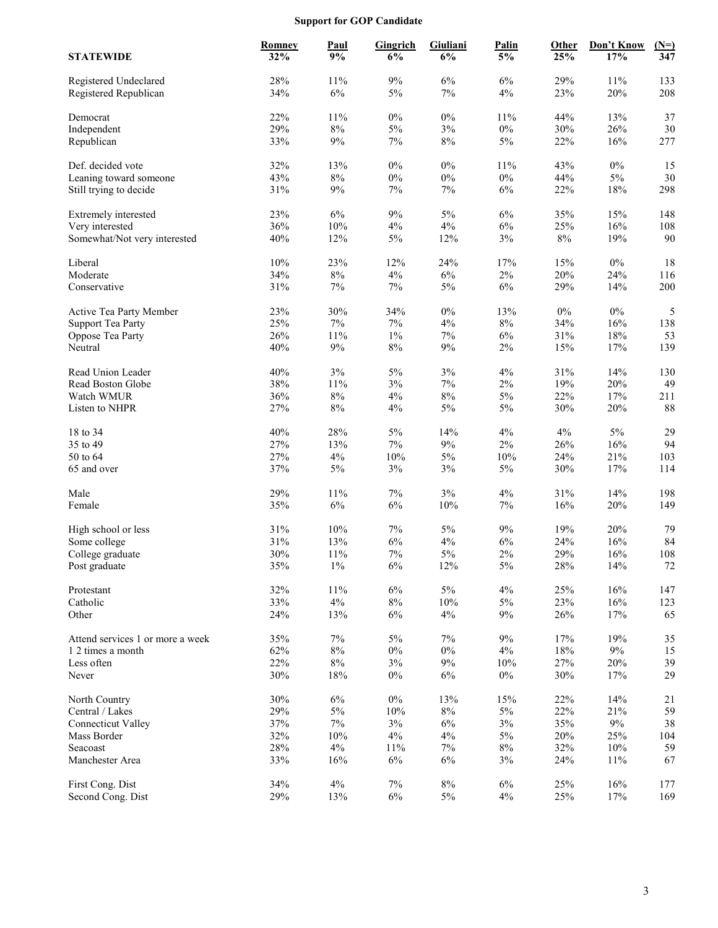## **Support for GOP Candidate**

| <b>STATEWIDE</b>                                | <b>Romney</b><br>32% | Paul<br>9%      | Gingrich<br>6% | Giuliani<br>6% | Palin<br>5%    | Other<br>25%  | Don't Know<br>17% | $(N=)$<br>347 |
|-------------------------------------------------|----------------------|-----------------|----------------|----------------|----------------|---------------|-------------------|---------------|
| Registered Undeclared<br>Registered Republican  | 28%<br>34%           | 11%<br>$6\%$    | $9\%$<br>$5\%$ | 6%<br>$7\%$    | 6%<br>$4\%$    | 29%<br>23%    | 11%<br>20%        | 133<br>208    |
| Democrat                                        | 22%                  | 11%             | $0\%$          | $0\%$          | 11%            | 44%           | 13%               | 37            |
| Independent                                     | 29%                  | $8\%$           | $5\%$          | 3%             | $0\%$          | 30%           | 26%               | 30            |
| Republican                                      | 33%                  | $9\%$           | $7\%$          | $8\%$          | $5\%$          | 22%           | 16%               | 277           |
| Def. decided vote                               | 32%                  | 13%             | $0\%$          | $0\%$          | 11%            | 43%           | $0\%$             | 15            |
| Leaning toward someone                          | 43%                  | $8\%$           | $0\%$          | $0\%$          | $0\%$          | 44%           | $5\%$             | 30            |
| Still trying to decide                          | 31%                  | $9\%$           | $7\%$          | 7%             | $6\%$          | 22%           | 18%               | 298           |
|                                                 |                      |                 |                |                |                |               |                   |               |
| Extremely interested                            | 23%<br>36%           | 6%<br>10%       | $9\%$<br>$4\%$ | $5\%$<br>$4\%$ | $6\%$<br>$6\%$ | 35%<br>25%    | 15%<br>16%        | 148           |
| Very interested<br>Somewhat/Not very interested | 40%                  | 12%             | $5\%$          | 12%            | 3%             | $8\%$         | 19%               | 108<br>$90\,$ |
|                                                 |                      |                 |                |                |                |               |                   |               |
| Liberal                                         | $10\%$               | 23%             | 12%            | 24%            | 17%            | 15%           | $0\%$             | 18            |
| Moderate                                        | 34%                  | $8\%$           | 4%             | 6%             | $2\%$          | 20%           | 24%               | 116           |
| Conservative                                    | 31%                  | 7%              | $7\%$          | $5\%$          | $6\%$          | 29%           | 14%               | 200           |
| Active Tea Party Member                         | 23%                  | 30%             | 34%            | $0\%$          | 13%            | $0\%$         | $0\%$             | 5             |
| <b>Support Tea Party</b>                        | 25%                  | $7\%$           | $7\%$          | 4%             | $8\%$          | 34%           | 16%               | 138           |
| Oppose Tea Party                                | 26%                  | 11%             | $1\%$          | $7\%$          | $6\%$          | 31%           | 18%               | 53            |
| Neutral                                         | 40%                  | $9\%$           | $8\%$          | 9%             | 2%             | 15%           | 17%               | 139           |
| Read Union Leader                               | 40%                  | 3%              | 5%             | 3%             | 4%             | 31%           | 14%               | 130           |
| Read Boston Globe                               | 38%                  | 11%             | $3\%$          | 7%             | $2\%$          | 19%           | 20%               | 49            |
| Watch WMUR                                      | 36%                  | $8\%$           | 4%             | 8%             | 5%             | 22%           | 17%               | 211           |
| Listen to NHPR                                  | 27%                  | $8\%$           | 4%             | $5\%$          | 5%             | 30%           | 20%               | 88            |
| 18 to 34                                        | 40%                  | 28%             | $5\%$          | 14%            | $4\%$          | 4%            | $5\%$             | 29            |
| 35 to 49                                        | 27%                  | 13%             | $7\%$          | 9%             | 2%             | 26%           | 16%               | 94            |
| 50 to 64                                        | 27%                  | 4%              | 10%            | $5\%$          | 10%            | 24%           | 21%               | 103           |
| 65 and over                                     | 37%                  | 5%              | $3\%$          | 3%             | $5\%$          | 30%           | 17%               | 114           |
| Male                                            | 29%                  | 11%             | 7%             | 3%             | 4%             | 31%           | 14%               | 198           |
| Female                                          | 35%                  | $6\%$           | 6%             | $10\%$         | 7%             | 16%           | 20%               | 149           |
| High school or less                             | 31%                  | 10%             | $7\%$          | $5\%$          | 9%             | 19%           | 20%               | 79            |
| Some college                                    | 31%                  | 13%             | $6\%$          | $4\%$          | $6\%$          | 24%           | 16%               | 84            |
| College graduate                                | 30%                  | 11%             | $7\%$          | $5\%$          | $2\%$          | 29%           | 16%               | 108           |
| Post graduate                                   | 35%                  | $1\%$           | 6%             | 12%            | 5%             | $28\%$        | 14%               | $72\,$        |
| Protestant                                      | 32%                  | $11\%$          | $6\%$          | $5\%$          | 4%             | 25%           | 16%               | 147           |
| Catholic                                        | 33%                  | 4%              | $8\%$          | $10\%$         | $5\%$          | 23%           | 16%               | 123           |
| Other                                           | 24%                  | 13%             | $6\%$          | $4\%$          | 9%             | 26%           | 17%               | 65            |
|                                                 |                      |                 |                |                |                |               |                   |               |
| Attend services 1 or more a week                | 35%                  | 7%              | 5%             | $7\%$          | 9%             | 17%           | 19%               | 35            |
| 1 2 times a month<br>Less often                 | 62%<br>22%           | $8\%$<br>$8\%$  | $0\%$<br>$3\%$ | $0\%$<br>$9\%$ | $4\%$<br>10%   | $18\%$<br>27% | $9\%$<br>20%      | 15<br>39      |
| Never                                           | 30%                  | $18\%$          | $0\%$          | $6\%$          | $0\%$          | 30%           | 17%               | 29            |
|                                                 |                      |                 |                |                |                |               |                   |               |
| North Country                                   | 30%                  | $6\%$           | $0\%$          | 13%            | 15%            | 22%           | 14%               | 21            |
| Central / Lakes                                 | 29%                  | $5\%$           | 10%            | $8\%$          | $5\%$          | 22%           | 21%               | 59            |
| <b>Connecticut Valley</b><br>Mass Border        | 37%<br>32%           | $7\%$<br>$10\%$ | $3\%$<br>4%    | $6\%$<br>$4\%$ | 3%<br>$5\%$    | 35%<br>20%    | $9\%$<br>25%      | 38            |
| Seacoast                                        | 28%                  | 4%              | 11%            | $7\%$          | $8\%$          | 32%           | $10\%$            | 104<br>59     |
| Manchester Area                                 | 33%                  | 16%             | $6\%$          | $6\%$          | $3\%$          | 24%           | $11\%$            | 67            |
|                                                 |                      |                 |                |                |                |               |                   |               |
| First Cong. Dist                                | 34%                  | $4\%$           | $7\%$          | $8\%$          | $6\%$          | 25%           | 16%               | 177           |
| Second Cong. Dist                               | 29%                  | 13%             | $6\%$          | $5\%$          | $4\%$          | 25%           | 17%               | 169           |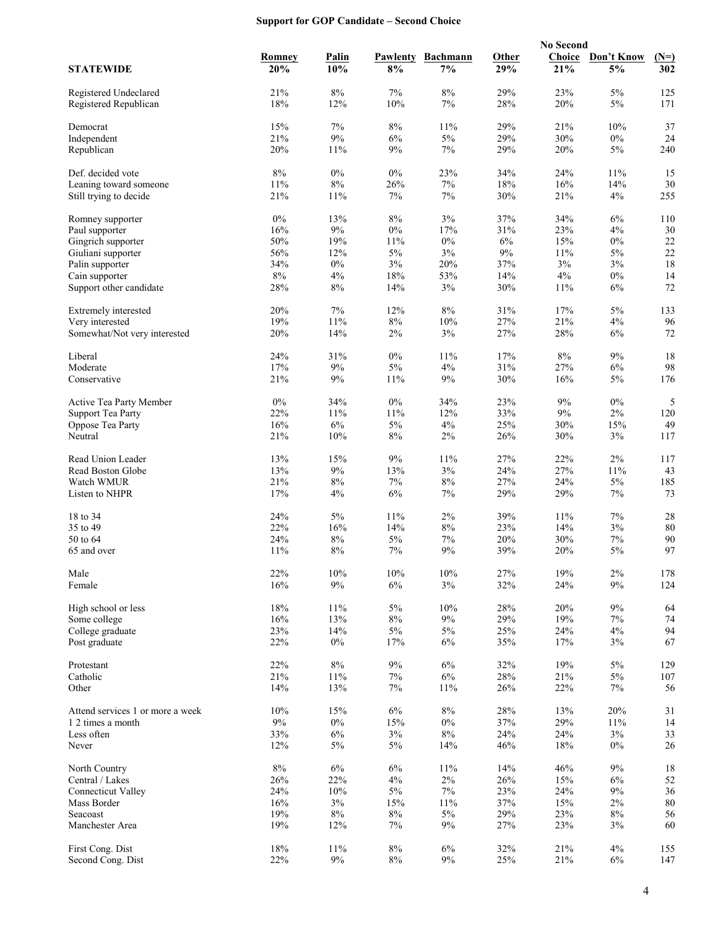## **Support for GOP Candidate – Second Choice**

|                                                |               |                     |                |                       |              | <b>No Second</b> |                  |               |
|------------------------------------------------|---------------|---------------------|----------------|-----------------------|--------------|------------------|------------------|---------------|
| <b>STATEWIDE</b>                               | Romney<br>20% | <b>Palin</b><br>10% | Pawlenty<br>8% | <b>Bachmann</b><br>7% | Other<br>29% | Choice<br>21%    | Don't Know<br>5% | $(N=)$<br>302 |
|                                                | 21%           |                     | 7%             | 8%                    | 29%          | 23%              |                  | 125           |
| Registered Undeclared<br>Registered Republican | 18%           | $8\%$<br>12%        | 10%            | 7%                    | 28%          | 20%              | $5\%$<br>$5\%$   | 171           |
| Democrat                                       | 15%           | $7\%$               | 8%             | 11%                   | 29%          | 21%              | 10%              | 37            |
| Independent                                    | 21%           | $9\%$               | 6%             | $5\%$                 | 29%          | 30%              | $0\%$            | 24            |
| Republican                                     | 20%           | 11%                 | 9%             | 7%                    | 29%          | 20%              | $5\%$            | 240           |
| Def. decided vote                              | $8\%$         | $0\%$               | $0\%$          | 23%                   | 34%          | 24%              | 11%              | 15            |
| Leaning toward someone                         | 11%           | $8\%$               | 26%            | 7%                    | 18%          | 16%              | 14%              | 30            |
| Still trying to decide                         | 21%           | 11%                 | 7%             | 7%                    | 30%          | 21%              | 4%               | 255           |
| Romney supporter                               | $0\%$         | 13%                 | $8\%$          | $3\%$                 | 37%          | 34%              | 6%               | 110           |
| Paul supporter                                 | 16%           | $9\%$               | $0\%$          | 17%                   | 31%          | 23%              | 4%               | 30            |
| Gingrich supporter                             | 50%           | 19%                 | 11%            | 0%                    | 6%           | 15%              | $0\%$            | $22\,$        |
| Giuliani supporter                             | 56%           | 12%                 | $5\%$          | 3%                    | $9\%$        | 11%              | $5\%$            | 22            |
| Palin supporter                                | 34%           | $0\%$               | 3%             | 20%                   | 37%          | 3%               | 3%               | 18            |
| Cain supporter                                 | $8\%$         | 4%                  | 18%            | 53%                   | 14%          | 4%               | $0\%$            | 14            |
| Support other candidate                        | 28%           | 8%                  | 14%            | 3%                    | 30%          | 11%              | 6%               | 72            |
| Extremely interested                           | 20%           | 7%                  | 12%            | $8\%$                 | 31%          | 17%              | $5\%$            | 133           |
| Very interested                                | 19%           | 11%                 | $8\%$          | 10%                   | 27%          | 21%              | 4%               | 96            |
| Somewhat/Not very interested                   | 20%           | 14%                 | $2\%$          | 3%                    | 27%          | 28%              | 6%               | 72            |
| Liberal                                        | 24%           | 31%                 | $0\%$          | 11%                   | 17%          | $8\%$            | 9%               | 18            |
| Moderate                                       | 17%           | $9\%$               | $5\%$          | $4\%$                 | 31%          | 27%              | $6\%$            | 98            |
| Conservative                                   | 21%           | 9%                  | 11%            | 9%                    | 30%          | 16%              | $5\%$            | 176           |
| Active Tea Party Member                        | $0\%$         | 34%                 | $0\%$          | 34%                   | 23%          | 9%               | $0\%$            | 5             |
| <b>Support Tea Party</b>                       | 22%           | 11%                 | 11%            | 12%                   | 33%          | $9\%$            | $2\%$            | 120           |
| Oppose Tea Party                               | 16%           | $6\%$               | $5\%$          | $4\%$                 | 25%          | 30%              | 15%              | 49            |
| Neutral                                        | 21%           | 10%                 | $8\%$          | 2%                    | 26%          | 30%              | 3%               | 117           |
| Read Union Leader                              | 13%           | 15%                 | 9%             | 11%                   | 27%          | 22%              | 2%               | 117           |
| Read Boston Globe                              | 13%           | $9\%$               | 13%            | $3\%$                 | 24%          | 27%              | 11%              | 43            |
| Watch WMUR                                     | 21%           | $8\%$               | 7%             | $8\%$                 | 27%          | 24%              | $5\%$            | 185           |
| Listen to NHPR                                 | 17%           | 4%                  | 6%             | 7%                    | 29%          | 29%              | $7\%$            | 73            |
| 18 to 34                                       | 24%           | 5%                  | 11%            | 2%                    | 39%          | 11%              | 7%               | 28            |
| 35 to 49                                       | 22%           | 16%                 | 14%            | $8\%$                 | 23%          | 14%              | 3%               | 80            |
| 50 to 64                                       | 24%           | $8\%$               | 5%             | 7%                    | 20%          | 30%              | $7\%$            | 90            |
| 65 and over                                    | 11%           | 8%                  | 7%             | 9%                    | 39%          | 20%              | 5%               | 97            |
| Male                                           | 22%           | $10\%$              | $10\%$         | $10\%$                | 27%          | $19\%$           | $2\%$            | 178           |
| Female                                         | 16%           | $9\%$               | $6\%$          | $3\%$                 | 32%          | 24%              | 9%               | 124           |
| High school or less                            | 18%           | 11%                 | $5\%$          | 10%                   | 28%          | 20%              | 9%               | 64            |
| Some college                                   | 16%           | 13%                 | $8\%$          | $9\%$                 | 29%          | 19%              | 7%               | 74            |
| College graduate                               | 23%           | 14%                 | $5\%$          | $5\%$                 | 25%          | 24%              | 4%               | 94            |
| Post graduate                                  | 22%           | $0\%$               | 17%            | 6%                    | 35%          | 17%              | $3\%$            | 67            |
| Protestant                                     | 22%           | $8\%$               | 9%             | 6%                    | 32%          | 19%              | 5%               | 129           |
| Catholic                                       | 21%           | $11\%$              | 7%             | $6\%$                 | 28%          | 21%              | 5%               | 107           |
| Other                                          | 14%           | 13%                 | 7%             | 11%                   | 26%          | 22%              | $7\%$            | 56            |
| Attend services 1 or more a week               | 10%           | 15%                 | 6%             | $8\%$                 | 28%          | 13%              | 20%              | 31            |
| 1 2 times a month                              | $9\%$         | $0\%$               | 15%            | $0\%$                 | 37%          | 29%              | 11%              | 14            |
| Less often                                     | 33%           | 6%                  | 3%             | $8\%$                 | 24%          | 24%              | 3%               | 33            |
| Never                                          | 12%           | $5\%$               | $5\%$          | 14%                   | 46%          | 18%              | $0\%$            | 26            |
| North Country                                  | 8%            | 6%                  | 6%             | 11%                   | 14%          | 46%              | 9%               | 18            |
| Central / Lakes                                | 26%           | 22%                 | 4%             | $2\%$                 | 26%          | 15%              | 6%               | 52            |
| <b>Connecticut Valley</b>                      | 24%           | $10\%$              | $5\%$          | 7%                    | 23%          | 24%              | $9\%$            | 36            |
| Mass Border                                    | 16%           | 3%                  | 15%            | 11%                   | 37%          | 15%              | $2\%$            | 80            |
| Seacoast                                       | 19%           | $8\%$               | $8\%$          | 5%                    | 29%          | 23%              | $8\%$            | 56            |
| Manchester Area                                | 19%           | 12%                 | 7%             | 9%                    | 27%          | 23%              | $3\%$            | 60            |
| First Cong. Dist                               | 18%           | 11%                 | $8\%$          | $6\%$                 | 32%          | 21%              | 4%               | 155           |
| Second Cong. Dist                              | 22%           | $9\%$               | $8\%$          | $9\%$                 | 25%          | $21\%$           | $6\%$            | 147           |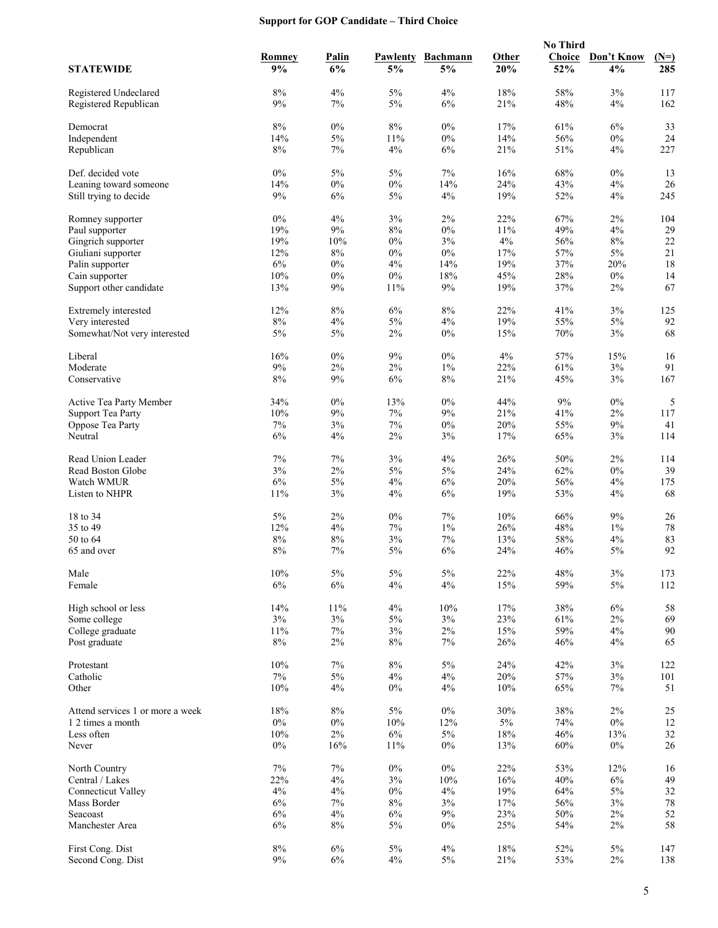## **Support for GOP Candidate – Third Choice**

|                                                  |              |                    |                |                       |              | <b>No Third</b> |                  |               |
|--------------------------------------------------|--------------|--------------------|----------------|-----------------------|--------------|-----------------|------------------|---------------|
| <b>STATEWIDE</b>                                 | Romney<br>9% | <b>Palin</b><br>6% | Pawlenty<br>5% | <b>Bachmann</b><br>5% | Other<br>20% | Choice<br>52%   | Don't Know<br>4% | $(N=)$<br>285 |
|                                                  |              |                    |                |                       |              |                 |                  |               |
| Registered Undeclared<br>Registered Republican   | 8%<br>9%     | 4%<br>7%           | $5\%$<br>$5\%$ | 4%<br>6%              | 18%<br>21%   | 58%<br>48%      | 3%<br>4%         | 117<br>162    |
| Democrat                                         | $8\%$        | $0\%$              | $8\%$          | $0\%$                 | 17%          | 61%             | 6%               | 33            |
| Independent                                      | 14%          | $5\%$              | 11%            | $0\%$                 | 14%          | 56%             | $0\%$            | 24            |
| Republican                                       | 8%           | 7%                 | 4%             | 6%                    | 21%          | 51%             | 4%               | 227           |
|                                                  |              |                    |                |                       |              |                 |                  |               |
| Def. decided vote                                | $0\%$<br>14% | $5\%$<br>$0\%$     | $5\%$<br>$0\%$ | $7\%$<br>14%          | 16%<br>24%   | $68\%$<br>43%   | $0\%$<br>4%      | 13<br>26      |
| Leaning toward someone<br>Still trying to decide | 9%           | 6%                 | $5\%$          | 4%                    | 19%          | 52%             | 4%               | 245           |
|                                                  |              |                    |                |                       |              |                 |                  |               |
| Romney supporter                                 | $0\%$        | 4%                 | 3%             | 2%                    | 22%          | 67%             | $2\%$            | 104           |
| Paul supporter                                   | 19%          | $9\%$              | $8\%$          | $0\%$                 | 11%          | 49%             | 4%               | 29            |
| Gingrich supporter                               | 19%          | 10%                | $0\%$          | 3%                    | 4%           | 56%             | 8%               | 22            |
| Giuliani supporter                               | 12%          | $8\%$              | $0\%$          | $0\%$                 | 17%          | 57%             | $5\%$            | 21            |
| Palin supporter                                  | 6%<br>10%    | $0\%$              | 4%             | 14%<br>18%            | 19%<br>45%   | 37%             | 20%              | 18            |
| Cain supporter<br>Support other candidate        | 13%          | $0\%$<br>9%        | $0\%$<br>11%   | 9%                    | 19%          | 28%<br>37%      | $0\%$<br>$2\%$   | 14<br>67      |
|                                                  |              |                    |                |                       |              |                 |                  |               |
| Extremely interested                             | 12%          | $8\%$              | 6%             | 8%                    | 22%          | 41%             | 3%               | 125           |
| Very interested                                  | $8\%$        | 4%                 | $5\%$          | 4%                    | 19%          | 55%             | $5\%$            | 92            |
| Somewhat/Not very interested                     | 5%           | 5%                 | $2\%$          | $0\%$                 | 15%          | 70%             | 3%               | 68            |
| Liberal                                          | 16%          | $0\%$              | 9%             | $0\%$                 | 4%           | 57%             | 15%              | 16            |
| Moderate                                         | 9%           | $2\%$              | $2\%$          | $1\%$                 | 22%          | 61%             | $3\%$            | 91            |
| Conservative                                     | 8%           | 9%                 | 6%             | 8%                    | 21%          | 45%             | 3%               | 167           |
| Active Tea Party Member                          | 34%          | $0\%$              | 13%            | $0\%$                 | 44%          | 9%              | $0\%$            | 5             |
| <b>Support Tea Party</b>                         | 10%          | $9\%$              | 7%             | 9%                    | 21%          | 41%             | $2\%$            | 117           |
| Oppose Tea Party                                 | 7%           | 3%                 | 7%             | $0\%$                 | 20%          | 55%             | 9%               | 41            |
| Neutral                                          | 6%           | 4%                 | $2\%$          | 3%                    | 17%          | 65%             | 3%               | 114           |
| Read Union Leader                                | 7%           | 7%                 | 3%             | 4%                    | 26%          | 50%             | 2%               | 114           |
| Read Boston Globe                                | $3\%$        | $2\%$              | $5\%$          | $5\%$                 | 24%          | 62%             | $0\%$            | 39            |
| Watch WMUR                                       | 6%           | $5\%$              | 4%             | $6\%$                 | 20%          | 56%             | 4%               | 175           |
| Listen to NHPR                                   | 11%          | 3%                 | 4%             | 6%                    | 19%          | 53%             | 4%               | 68            |
| 18 to 34                                         | 5%           | $2\%$              | $0\%$          | 7%                    | 10%          | 66%             | 9%               | 26            |
| 35 to 49                                         | 12%          | 4%                 | 7%             | $1\%$                 | 26%          | 48%             | $1\%$            | $78\,$        |
| 50 to 64                                         | $8\%$        | $8\%$              | 3%             | 7%                    | 13%          | 58%             | 4%               | 83            |
| 65 and over                                      | 8%           | 7%                 | $5\%$          | 6%                    | 24%          | 46%             | 5%               | 92            |
| Male                                             | $10\%$       | $5\%$              | $5\%$          | $5\%$                 | 22%          | $48\%$          | 3%               | 173           |
| Female                                           | $6\%$        | 6%                 | $4\%$          | 4%                    | 15%          | 59%             | 5%               | 112           |
|                                                  |              |                    |                |                       |              |                 |                  |               |
| High school or less                              | 14%          | 11%                | 4%             | 10%                   | 17%          | 38%             | $6\%$            | 58            |
| Some college                                     | $3\%$        | $3\%$              | 5%             | 3%                    | 23%          | 61%             | $2\%$            | 69            |
| College graduate                                 | 11%          | 7%                 | 3%             | $2\%$                 | 15%          | 59%             | 4%               | 90            |
| Post graduate                                    | $8\%$        | $2\%$              | $8\%$          | 7%                    | 26%          | 46%             | 4%               | 65            |
| Protestant                                       | 10%          | 7%                 | $8\%$          | $5\%$                 | 24%          | 42%             | 3%               | 122           |
| Catholic                                         | $7\%$        | $5\%$              | 4%             | 4%                    | 20%          | 57%             | $3\%$            | 101           |
| Other                                            | 10%          | 4%                 | 0%             | 4%                    | 10%          | 65%             | $7\%$            | 51            |
| Attend services 1 or more a week                 | 18%          | $8\%$              | $5\%$          | $0\%$                 | 30%          | 38%             | 2%               | 25            |
| 1 2 times a month                                | $0\%$        | $0\%$              | 10%            | 12%                   | $5\%$        | 74%             | $0\%$            | 12            |
| Less often                                       | 10%          | $2\%$              | 6%             | $5\%$                 | 18%          | 46%             | 13%              | 32            |
| Never                                            | $0\%$        | 16%                | $11\%$         | $0\%$                 | 13%          | 60%             | $0\%$            | 26            |
| North Country                                    | 7%           | 7%                 | $0\%$          | $0\%$                 | 22%          | 53%             | 12%              | 16            |
| Central / Lakes                                  | 22%          | 4%                 | 3%             | 10%                   | 16%          | 40%             | 6%               | 49            |
| <b>Connecticut Valley</b>                        | 4%           | $4\%$              | $0\%$          | 4%                    | 19%          | 64%             | $5\%$            | 32            |
| Mass Border                                      | 6%           | $7\%$              | $8\%$          | 3%                    | 17%          | 56%             | 3%               | $78\,$        |
| Seacoast                                         | 6%           | 4%                 | 6%             | 9%                    | 23%          | 50%             | $2\%$            | 52            |
| Manchester Area                                  | 6%           | $8\%$              | 5%             | $0\%$                 | 25%          | 54%             | $2\%$            | 58            |
| First Cong. Dist                                 | $8\%$        | 6%                 | $5\%$          | 4%                    | 18%          | 52%             | 5%               | 147           |
| Second Cong. Dist                                | $9\%$        | 6%                 | 4%             | $5\%$                 | 21%          | 53%             | $2\%$            | 138           |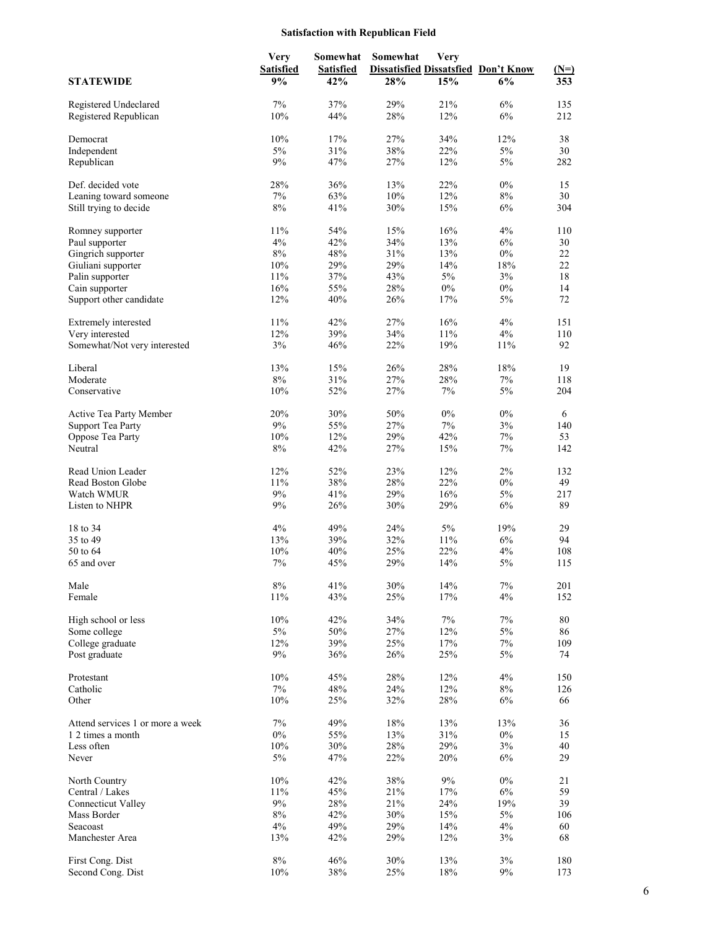## **Satisfaction with Republican Field**

|                                  | <b>Very</b>      | Somewhat         | Somewhat | Very  |                                            |        |
|----------------------------------|------------------|------------------|----------|-------|--------------------------------------------|--------|
|                                  | <b>Satisfied</b> | <b>Satisfied</b> |          |       | <b>Dissatisfied Dissatsfied Don't Know</b> | $(N=)$ |
| <b>STATEWIDE</b>                 | 9%               | 42%              | 28%      | 15%   | 6%                                         | 353    |
|                                  |                  | 37%              | 29%      | 21%   | 6%                                         | 135    |
| Registered Undeclared            | $7\%$            |                  |          |       |                                            |        |
| Registered Republican            | 10%              | 44%              | 28%      | 12%   | $6\%$                                      | 212    |
| Democrat                         | 10%              | 17%              | 27%      | 34%   | 12%                                        | 38     |
| Independent                      | $5\%$            | 31%              | 38%      | 22%   | $5\%$                                      | 30     |
| Republican                       | $9\%$            | 47%              | 27%      | 12%   | $5\%$                                      | 282    |
| Def. decided vote                | 28%              | 36%              | 13%      | 22%   | $0\%$                                      | 15     |
| Leaning toward someone           | $7\%$            | 63%              | 10%      | 12%   | $8\%$                                      | 30     |
| Still trying to decide           | 8%               | 41%              | 30%      | 15%   | 6%                                         | 304    |
|                                  |                  |                  |          |       |                                            |        |
| Romney supporter                 | 11%              | 54%              | 15%      | 16%   | 4%                                         | 110    |
| Paul supporter                   | 4%               | 42%              | 34%      | 13%   | 6%                                         | 30     |
| Gingrich supporter               | $8\%$            | 48%              | 31%      | 13%   | $0\%$                                      | 22     |
| Giuliani supporter               | 10%              | 29%              | 29%      | 14%   | 18%                                        | 22     |
| Palin supporter                  | 11%              | 37%              | 43%      | $5\%$ | 3%                                         | 18     |
| Cain supporter                   | 16%              | 55%              | 28%      | $0\%$ | $0\%$                                      | 14     |
| Support other candidate          | 12%              | 40%              | 26%      | 17%   | $5\%$                                      | 72     |
|                                  | 11%              | 42%              | 27%      | 16%   | 4%                                         |        |
| Extremely interested             |                  |                  |          |       |                                            | 151    |
| Very interested                  | 12%              | 39%              | 34%      | 11%   | 4%                                         | 110    |
| Somewhat/Not very interested     | 3%               | 46%              | 22%      | 19%   | 11%                                        | 92     |
| Liberal                          | 13%              | 15%              | 26%      | 28%   | 18%                                        | 19     |
| Moderate                         | $8\%$            | 31%              | 27%      | 28%   | $7\%$                                      | 118    |
| Conservative                     | 10%              | 52%              | 27%      | 7%    | $5\%$                                      | 204    |
|                                  |                  |                  |          |       |                                            |        |
| Active Tea Party Member          | 20%              | 30%              | 50%      | $0\%$ | $0\%$                                      | 6      |
| <b>Support Tea Party</b>         | $9\%$            | 55%              | 27%      | $7\%$ | 3%                                         | 140    |
| Oppose Tea Party                 | 10%              | 12%              | 29%      | 42%   | 7%                                         | 53     |
| Neutral                          | $8\%$            | 42%              | 27%      | 15%   | $7\%$                                      | 142    |
| Read Union Leader                | 12%              | 52%              | 23%      | 12%   | 2%                                         | 132    |
| Read Boston Globe                | $11\%$           | 38%              | $28\%$   | 22%   | $0\%$                                      | 49     |
| Watch WMUR                       | $9\%$            | 41%              | 29%      | 16%   | $5\%$                                      | 217    |
| Listen to NHPR                   | 9%               | 26%              | 30%      | 29%   | 6%                                         | 89     |
|                                  |                  |                  |          |       |                                            |        |
| 18 to 34                         | 4%               | 49%              | 24%      | $5\%$ | 19%                                        | 29     |
| 35 to 49                         | 13%              | 39%              | 32%      | 11%   | 6%                                         | 94     |
| 50 to 64                         | 10%              | 40%              | 25%      | 22%   | 4%                                         | 108    |
| 65 and over                      | 7%               | 45%              | 29%      | 14%   | $5\%$                                      | 115    |
| Male                             | $8\%$            | 41%              | $30\%$   | 14%   | 7%                                         | 201    |
| Female                           | 11%              | 43%              | 25%      | 17%   | 4%                                         | 152    |
|                                  |                  |                  |          |       |                                            |        |
| High school or less              | 10%              | 42%              | 34%      | $7\%$ | $7\%$                                      | 80     |
| Some college                     | $5\%$            | 50%              | 27%      | 12%   | 5%                                         | 86     |
| College graduate                 | 12%              | 39%              | 25%      | 17%   | 7%                                         | 109    |
| Post graduate                    | $9\%$            | 36%              | 26%      | 25%   | $5\%$                                      | 74     |
| Protestant                       | 10%              | 45%              | 28%      | 12%   | 4%                                         | 150    |
| Catholic                         | $7\%$            | 48%              | 24%      | 12%   | $8\%$                                      | 126    |
| Other                            | 10%              | 25%              | 32%      | 28%   | 6%                                         | 66     |
| Attend services 1 or more a week | $7\%$            | 49%              | 18%      | 13%   | 13%                                        | 36     |
|                                  |                  |                  |          |       |                                            | 15     |
| 1 2 times a month                | $0\%$            | 55%              | 13%      | 31%   | $0\%$                                      |        |
| Less often                       | 10%              | 30%              | 28%      | 29%   | 3%                                         | 40     |
| Never                            | $5\%$            | 47%              | 22%      | 20%   | 6%                                         | 29     |
| North Country                    | 10%              | 42%              | 38%      | 9%    | $0\%$                                      | 21     |
| Central / Lakes                  | 11%              | 45%              | 21%      | 17%   | 6%                                         | 59     |
| <b>Connecticut Valley</b>        | $9\%$            | 28%              | 21%      | 24%   | 19%                                        | 39     |
| Mass Border                      | $8\%$            | 42%              | 30%      | 15%   | 5%                                         | 106    |
| Seacoast                         | 4%               | 49%              | 29%      | 14%   | 4%                                         | 60     |
| Manchester Area                  | 13%              | 42%              | 29%      | 12%   | 3%                                         | 68     |
|                                  |                  |                  |          |       |                                            |        |
| First Cong. Dist                 | $8\%$            | 46%              | $30\%$   | 13%   | 3%                                         | 180    |
| Second Cong. Dist                | 10%              | $38\%$           | 25%      | 18%   | 9%                                         | 173    |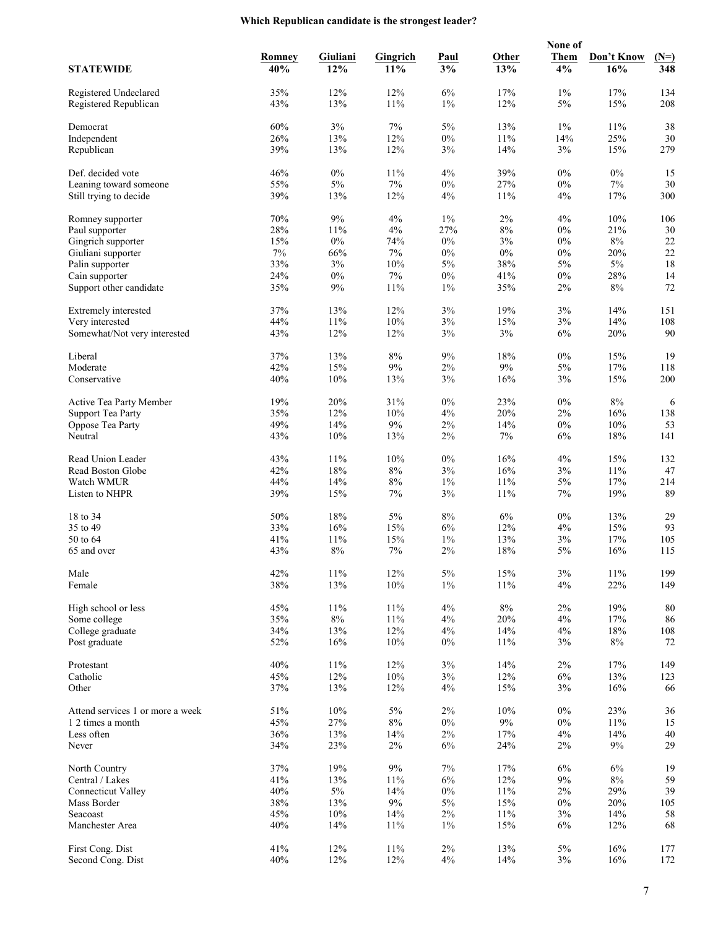## **Which Republican candidate is the strongest leader?**

|                                                |            |              |                 |             |            | None of        |               |            |
|------------------------------------------------|------------|--------------|-----------------|-------------|------------|----------------|---------------|------------|
|                                                | Romney     | Giuliani     | <b>Gingrich</b> | <b>Paul</b> | Other      | <b>Them</b>    | Don't Know    | $(N=)$     |
| <b>STATEWIDE</b>                               | 40%        | 12%          | 11%             | 3%          | 13%        | 4%             | 16%           | 348        |
|                                                |            |              |                 |             |            |                |               |            |
| Registered Undeclared<br>Registered Republican | 35%<br>43% | 12%<br>13%   | 12%<br>11%      | 6%<br>$1\%$ | 17%<br>12% | $1\%$<br>$5\%$ | 17%<br>15%    | 134<br>208 |
|                                                |            |              |                 |             |            |                |               |            |
| Democrat                                       | 60%        | $3\%$        | 7%              | $5\%$       | 13%        | $1\%$          | 11%           | 38         |
| Independent                                    | 26%        | 13%          | 12%             | $0\%$       | 11%        | 14%            | 25%           | 30         |
| Republican                                     | 39%        | 13%          | 12%             | 3%          | 14%        | 3%             | 15%           | 279        |
|                                                |            |              |                 |             |            |                |               |            |
| Def. decided vote                              | 46%        | $0\%$        | 11%             | 4%          | 39%        | $0\%$          | $0\%$         | 15         |
| Leaning toward someone                         | 55%<br>39% | $5\%$<br>13% | $7\%$           | $0\%$<br>4% | 27%<br>11% | $0\%$<br>4%    | $7\%$         | 30<br>300  |
| Still trying to decide                         |            |              | 12%             |             |            |                | 17%           |            |
| Romney supporter                               | 70%        | $9\%$        | 4%              | $1\%$       | $2\%$      | 4%             | 10%           | 106        |
| Paul supporter                                 | 28%        | 11%          | 4%              | 27%         | $8\%$      | $0\%$          | 21%           | 30         |
| Gingrich supporter                             | 15%        | $0\%$        | 74%             | 0%          | 3%         | $0\%$          | $8\%$         | $22\,$     |
| Giuliani supporter                             | 7%         | 66%          | 7%              | $0\%$       | $0\%$      | $0\%$          | 20%           | 22         |
| Palin supporter                                | 33%        | $3\%$        | 10%             | $5\%$       | 38%        | $5\%$          | $5\%$         | 18         |
| Cain supporter                                 | 24%        | $0\%$        | 7%              | $0\%$       | 41%        | $0\%$          | 28%           | 14         |
| Support other candidate                        | 35%        | 9%           | $11\%$          | $1\%$       | 35%        | 2%             | $8\%$         | 72         |
| Extremely interested                           | 37%        | 13%          | 12%             | 3%          | 19%        | 3%             | 14%           | 151        |
| Very interested                                | 44%        | 11%          | 10%             | 3%          | 15%        | 3%             | 14%           | 108        |
| Somewhat/Not very interested                   | 43%        | 12%          | 12%             | 3%          | 3%         | 6%             | 20%           | 90         |
|                                                |            |              |                 |             |            |                |               |            |
| Liberal                                        | 37%        | 13%          | 8%              | $9\%$       | 18%        | $0\%$          | 15%           | 19         |
| Moderate                                       | 42%        | 15%          | $9\%$           | 2%          | $9\%$      | 5%             | 17%           | 118        |
| Conservative                                   | 40%        | 10%          | 13%             | 3%          | 16%        | 3%             | 15%           | 200        |
|                                                |            |              |                 |             |            |                |               |            |
| Active Tea Party Member                        | 19%        | 20%          | 31%             | $0\%$       | 23%        | $0\%$          | $8\%$         | 6          |
| <b>Support Tea Party</b>                       | 35%        | 12%          | 10%             | 4%          | 20%        | $2\%$          | 16%           | 138        |
| Oppose Tea Party<br>Neutral                    | 49%<br>43% | 14%<br>10%   | $9\%$<br>13%    | $2\%$<br>2% | 14%<br>7%  | $0\%$<br>6%    | $10\%$<br>18% | 53<br>141  |
|                                                |            |              |                 |             |            |                |               |            |
| Read Union Leader                              | 43%        | 11%          | 10%             | $0\%$       | 16%        | 4%             | 15%           | 132        |
| Read Boston Globe                              | 42%        | $18\%$       | $8\%$           | 3%          | 16%        | 3%             | 11%           | 47         |
| Watch WMUR                                     | 44%        | 14%          | $8\%$           | $1\%$       | 11%        | $5\%$          | 17%           | 214        |
| Listen to NHPR                                 | 39%        | 15%          | 7%              | 3%          | 11%        | 7%             | 19%           | 89         |
|                                                |            |              |                 |             |            |                |               |            |
| 18 to 34                                       | 50%        | 18%          | 5%              | $8\%$       | 6%         | $0\%$          | 13%           | 29         |
| 35 to 49<br>50 to 64                           | 33%<br>41% | 16%<br>11%   | 15%<br>15%      | 6%<br>$1\%$ | 12%<br>13% | 4%<br>3%       | 15%<br>17%    | 93<br>105  |
| 65 and over                                    | 43%        | 8%           | 7%              | 2%          | 18%        | 5%             | 16%           | 115        |
|                                                |            |              |                 |             |            |                |               |            |
| Male                                           | 42%        | $11\%$       | 12%             | $5\%$       | 15%        | 3%             | $11\%$        | 199        |
| Female                                         | 38%        | 13%          | 10%             | $1\%$       | 11%        | 4%             | 22%           | 149        |
|                                                |            |              |                 |             |            |                |               |            |
| High school or less                            | 45%        | 11%          | 11%             | $4\%$       | $8\%$      | $2\%$          | 19%           | 80         |
| Some college                                   | 35%        | $8\%$        | 11%             | 4%          | 20%        | 4%             | 17%           | 86         |
| College graduate                               | 34%        | 13%          | 12%             | 4%          | 14%        | 4%             | 18%           | 108        |
| Post graduate                                  | 52%        | 16%          | 10%             | $0\%$       | 11%        | 3%             | $8\%$         | 72         |
| Protestant                                     | 40%        | $11\%$       | 12%             | 3%          | 14%        | $2\%$          | 17%           | 149        |
| Catholic                                       | 45%        | 12%          | 10%             | 3%          | 12%        | 6%             | 13%           | 123        |
| Other                                          | 37%        | 13%          | 12%             | 4%          | 15%        | 3%             | 16%           | 66         |
|                                                |            |              |                 |             |            |                |               |            |
| Attend services 1 or more a week               | 51%        | $10\%$       | $5\%$           | 2%          | 10%        | $0\%$          | 23%           | 36         |
| 1 2 times a month                              | 45%        | 27%          | $8\%$           | $0\%$       | $9\%$      | $0\%$          | 11%           | 15         |
| Less often                                     | 36%        | 13%          | 14%             | 2%          | 17%        | 4%             | 14%           | 40         |
| Never                                          | 34%        | 23%          | $2\%$           | $6\%$       | 24%        | 2%             | $9\%$         | 29         |
| North Country                                  | 37%        | 19%          | 9%              | 7%          | 17%        | 6%             | 6%            | 19         |
| Central / Lakes                                | 41%        | 13%          | 11%             | $6\%$       | 12%        | 9%             | $8\%$         | 59         |
| <b>Connecticut Valley</b>                      | 40%        | $5\%$        | 14%             | $0\%$       | 11%        | $2\%$          | 29%           | 39         |
| Mass Border                                    | 38%        | 13%          | $9\%$           | 5%          | 15%        | $0\%$          | 20%           | 105        |
| Seacoast                                       | 45%        | 10%          | 14%             | $2\%$       | 11%        | 3%             | 14%           | 58         |
| Manchester Area                                | 40%        | 14%          | $11\%$          | $1\%$       | 15%        | $6\%$          | 12%           | 68         |
|                                                |            |              |                 |             |            |                |               |            |
| First Cong. Dist                               | 41%        | 12%          | 11%             | $2\%$       | 13%        | 5%             | 16%           | 177        |
| Second Cong. Dist                              | 40%        | 12%          | 12%             | $4\%$       | 14%        | $3\%$          | 16%           | 172        |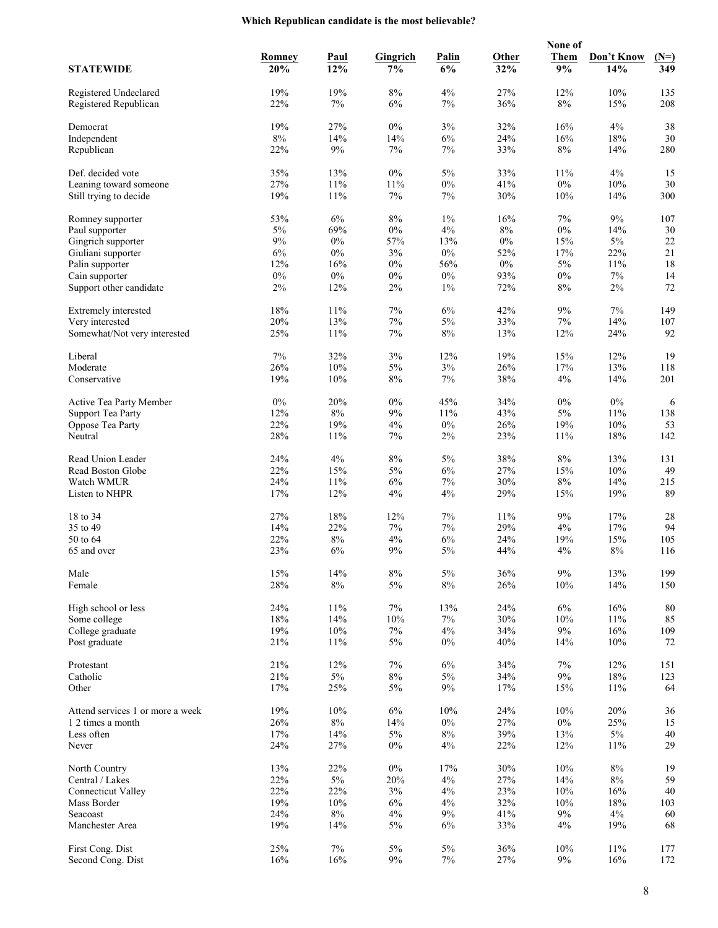## **Which Republican candidate is the most believable?**

|                                                  |            |              |                 |              |            | None of      |            |            |
|--------------------------------------------------|------------|--------------|-----------------|--------------|------------|--------------|------------|------------|
|                                                  | Romney     | <b>Paul</b>  | <b>Gingrich</b> | <b>Palin</b> | Other      | <b>Them</b>  | Don't Know | $(N=)$     |
| <b>STATEWIDE</b>                                 | 20%        | 12%          | 7%              | 6%           | 32%        | 9%           | 14%        | 349        |
|                                                  |            |              |                 |              |            |              |            |            |
| Registered Undeclared<br>Registered Republican   | 19%<br>22% | 19%<br>7%    | 8%<br>6%        | 4%<br>7%     | 27%<br>36% | 12%<br>$8\%$ | 10%<br>15% | 135<br>208 |
|                                                  |            |              |                 |              |            |              |            |            |
| Democrat                                         | 19%        | 27%          | $0\%$           | 3%           | 32%        | 16%          | 4%         | 38         |
| Independent                                      | $8\%$      | 14%          | 14%             | 6%           | 24%        | 16%          | 18%        | 30         |
| Republican                                       | 22%        | $9\%$        | 7%              | 7%           | 33%        | $8\%$        | 14%        | 280        |
|                                                  |            |              |                 |              |            |              |            |            |
| Def. decided vote                                | 35%        | 13%          | $0\%$           | $5\%$        | 33%        | 11%          | 4%         | 15         |
| Leaning toward someone<br>Still trying to decide | 27%<br>19% | 11%<br>11%   | 11%<br>7%       | $0\%$<br>7%  | 41%<br>30% | $0\%$<br>10% | 10%<br>14% | 30<br>300  |
|                                                  |            |              |                 |              |            |              |            |            |
| Romney supporter                                 | 53%        | 6%           | $8\%$           | $1\%$        | 16%        | 7%           | 9%         | 107        |
| Paul supporter                                   | 5%         | 69%          | $0\%$           | 4%           | $8\%$      | $0\%$        | 14%        | 30         |
| Gingrich supporter                               | 9%         | $0\%$        | 57%             | 13%          | $0\%$      | 15%          | $5\%$      | 22         |
| Giuliani supporter                               | $6\%$      | $0\%$        | 3%              | $0\%$        | 52%        | 17%          | 22%        | 21         |
| Palin supporter                                  | 12%        | 16%          | $0\%$           | 56%          | $0\%$      | $5\%$        | 11%        | 18         |
| Cain supporter                                   | $0\%$      | $0\%$        | $0\%$           | $0\%$        | 93%        | $0\%$        | $7\%$      | 14         |
| Support other candidate                          | 2%         | 12%          | 2%              | $1\%$        | 72%        | $8\%$        | $2\%$      | 72         |
| Extremely interested                             | 18%        | 11%          | $7\%$           | 6%           | 42%        | $9\%$        | 7%         | 149        |
| Very interested                                  | 20%        | 13%          | $7\%$           | $5\%$        | 33%        | 7%           | 14%        | 107        |
| Somewhat/Not very interested                     | 25%        | 11%          | 7%              | $8\%$        | 13%        | 12%          | 24%        | 92         |
|                                                  |            |              |                 |              |            |              |            |            |
| Liberal                                          | 7%         | 32%          | 3%              | 12%          | 19%        | 15%          | 12%        | 19         |
| Moderate                                         | 26%        | $10\%$       | $5\%$           | $3\%$        | 26%        | 17%          | 13%        | 118        |
| Conservative                                     | 19%        | 10%          | $8\%$           | 7%           | 38%        | 4%           | 14%        | 201        |
|                                                  |            |              |                 |              |            |              |            |            |
| Active Tea Party Member                          | $0\%$      | 20%          | $0\%$           | 45%          | 34%        | $0\%$        | $0\%$      | 6          |
| <b>Support Tea Party</b>                         | 12%        | $8\%$        | 9%              | 11%          | 43%        | 5%           | 11%        | 138        |
| Oppose Tea Party<br>Neutral                      | 22%<br>28% | 19%<br>11%   | 4%<br>7%        | $0\%$<br>2%  | 26%<br>23% | 19%<br>11%   | 10%<br>18% | 53<br>142  |
|                                                  |            |              |                 |              |            |              |            |            |
| Read Union Leader                                | 24%        | 4%           | 8%              | 5%           | 38%        | $8\%$        | 13%        | 131        |
| Read Boston Globe                                | 22%        | 15%          | $5\%$           | 6%           | 27%        | 15%          | $10\%$     | 49         |
| Watch WMUR                                       | 24%        | 11%          | 6%              | $7\%$        | 30%        | $8\%$        | 14%        | 215        |
| Listen to NHPR                                   | 17%        | 12%          | 4%              | 4%           | 29%        | 15%          | 19%        | 89         |
|                                                  |            |              |                 |              |            |              |            |            |
| 18 to 34                                         | 27%        | 18%          | 12%             | 7%           | 11%        | 9%           | 17%        | 28         |
| 35 to 49<br>50 to 64                             | 14%<br>22% | 22%<br>$8\%$ | 7%<br>4%        | $7\%$<br>6%  | 29%<br>24% | 4%<br>19%    | 17%<br>15% | 94<br>105  |
| 65 and over                                      | 23%        | 6%           | 9%              | 5%           | 44%        | 4%           | $8\%$      | 116        |
|                                                  |            |              |                 |              |            |              |            |            |
| Male                                             | 15%        | $14\%$       | $8\%$           | $5\%$        | 36%        | $9\%$        | 13%        | 199        |
| Female                                           | 28%        | $8\%$        | $5\%$           | $8\%$        | 26%        | 10%          | 14%        | 150        |
|                                                  |            |              |                 |              |            |              |            |            |
| High school or less                              | 24%        | 11%          | $7\%$           | 13%          | 24%        | 6%           | 16%        | $80\,$     |
| Some college                                     | 18%        | 14%          | 10%             | $7\%$        | 30%        | 10%          | 11%        | 85         |
| College graduate                                 | 19%        | 10%          | $7\%$           | 4%           | 34%        | $9\%$        | 16%        | 109        |
| Post graduate                                    | 21%        | 11%          | $5\%$           | $0\%$        | 40%        | 14%          | 10%        | 72         |
| Protestant                                       | 21%        | 12%          | $7\%$           | 6%           | 34%        | 7%           | 12%        | 151        |
| Catholic                                         | 21%        | $5\%$        | $8\%$           | $5\%$        | 34%        | $9\%$        | 18%        | 123        |
| Other                                            | 17%        | 25%          | $5\%$           | 9%           | 17%        | 15%          | $11\%$     | 64         |
|                                                  |            |              |                 |              |            |              |            |            |
| Attend services 1 or more a week                 | 19%        | 10%          | 6%              | 10%          | 24%        | 10%          | 20%        | 36         |
| 1 2 times a month                                | 26%        | $8\%$        | 14%             | $0\%$        | 27%        | $0\%$        | 25%        | 15         |
| Less often                                       | 17%        | 14%          | $5\%$           | $8\%$        | 39%        | 13%          | $5\%$      | $40\,$     |
| Never                                            | 24%        | 27%          | $0\%$           | 4%           | 22%        | 12%          | 11%        | 29         |
| North Country                                    | 13%        | 22%          | $0\%$           | 17%          | 30%        | 10%          | $8\%$      | 19         |
| Central / Lakes                                  | 22%        | $5\%$        | 20%             | $4\%$        | 27%        | 14%          | $8\%$      | 59         |
| <b>Connecticut Valley</b>                        | 22%        | 22%          | 3%              | $4\%$        | 23%        | 10%          | 16%        | 40         |
| Mass Border                                      | 19%        | $10\%$       | $6\%$           | 4%           | 32%        | 10%          | 18%        | 103        |
| Seacoast                                         | 24%        | $8\%$        | 4%              | 9%           | 41%        | 9%           | 4%         | 60         |
| Manchester Area                                  | 19%        | 14%          | $5\%$           | 6%           | 33%        | 4%           | 19%        | 68         |
|                                                  |            |              |                 |              |            |              |            |            |
| First Cong. Dist                                 | 25%        | $7\%$        | 5%              | $5\%$        | 36%        | 10%          | 11%        | 177        |
| Second Cong. Dist                                | 16%        | 16%          | $9\%$           | $7\%$        | 27%        | $9\%$        | 16%        | 172        |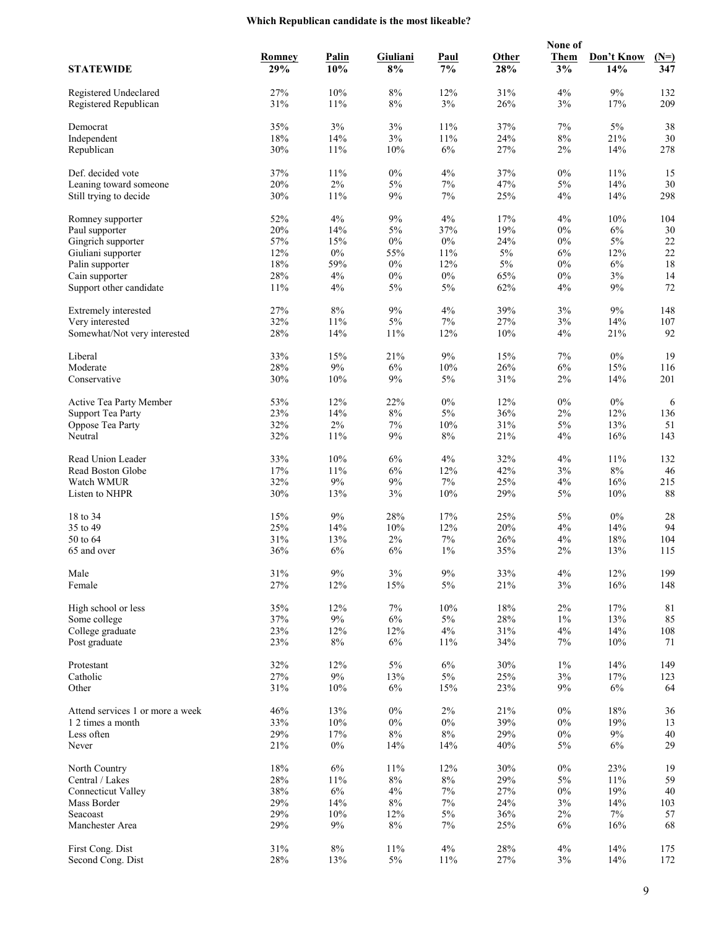## **Which Republican candidate is the most likeable?**

|                                                  |            |              |                |              |            | None of        |              |            |
|--------------------------------------------------|------------|--------------|----------------|--------------|------------|----------------|--------------|------------|
|                                                  | Romney     | <b>Palin</b> | Giuliani       | <b>Paul</b>  | Other      | <b>Them</b>    | Don't Know   | $(N=)$     |
| <b>STATEWIDE</b>                                 | 29%        | 10%          | 8%             | 7%           | 28%        | 3%             | 14%          | 347        |
|                                                  |            |              |                |              |            |                |              |            |
| Registered Undeclared<br>Registered Republican   | 27%<br>31% | 10%<br>11%   | $8\%$<br>$8\%$ | 12%<br>3%    | 31%<br>26% | 4%<br>3%       | 9%<br>17%    | 132<br>209 |
|                                                  |            |              |                |              |            |                |              |            |
| Democrat                                         | 35%        | 3%           | 3%             | 11%          | 37%        | 7%             | $5\%$        | 38         |
| Independent                                      | $18\%$     | 14%          | 3%             | 11%          | 24%        | $8\%$          | 21%          | 30         |
| Republican                                       | 30%        | 11%          | 10%            | 6%           | 27%        | $2\%$          | 14%          | 278        |
|                                                  |            |              |                |              |            |                |              |            |
| Def. decided vote                                | 37%        | 11%          | $0\%$          | 4%           | 37%        | $0\%$          | 11%          | 15         |
| Leaning toward someone<br>Still trying to decide | 20%<br>30% | $2\%$<br>11% | $5\%$<br>9%    | $7\%$<br>7%  | 47%<br>25% | 5%<br>4%       | 14%<br>14%   | 30<br>298  |
|                                                  |            |              |                |              |            |                |              |            |
| Romney supporter                                 | 52%        | 4%           | 9%             | 4%           | 17%        | 4%             | 10%          | 104        |
| Paul supporter                                   | 20%        | 14%          | $5\%$          | 37%          | 19%        | $0\%$          | 6%           | 30         |
| Gingrich supporter                               | 57%        | 15%          | $0\%$          | $0\%$        | 24%        | $0\%$          | $5\%$        | $22\,$     |
| Giuliani supporter                               | 12%        | $0\%$        | 55%            | 11%          | $5\%$      | 6%             | 12%          | 22         |
| Palin supporter                                  | $18\%$     | 59%          | $0\%$          | 12%          | $5\%$      | $0\%$          | 6%           | 18         |
| Cain supporter                                   | 28%        | 4%           | $0\%$          | $0\%$        | 65%        | $0\%$          | 3%           | 14         |
| Support other candidate                          | 11%        | 4%           | $5\%$          | 5%           | 62%        | 4%             | 9%           | 72         |
| Extremely interested                             | 27%        | 8%           | 9%             | $4\%$        | 39%        | 3%             | 9%           | 148        |
| Very interested                                  | 32%        | 11%          | $5\%$          | 7%           | 27%        | 3%             | 14%          | 107        |
| Somewhat/Not very interested                     | 28%        | 14%          | 11%            | 12%          | 10%        | 4%             | 21%          | 92         |
|                                                  |            |              |                |              |            |                |              |            |
| Liberal                                          | 33%        | 15%          | 21%            | $9\%$        | 15%        | 7%             | $0\%$        | 19         |
| Moderate                                         | 28%        | $9\%$        | 6%             | 10%          | 26%        | 6%             | 15%          | 116        |
| Conservative                                     | 30%        | 10%          | 9%             | $5\%$        | 31%        | $2\%$          | 14%          | 201        |
|                                                  |            |              |                |              |            |                |              |            |
| Active Tea Party Member                          | 53%        | 12%          | 22%            | $0\%$        | 12%        | $0\%$          | $0\%$        | 6          |
| <b>Support Tea Party</b>                         | 23%        | 14%<br>2%    | $8\%$<br>$7\%$ | $5\%$<br>10% | 36%<br>31% | $2\%$<br>$5\%$ | 12%          | 136        |
| Oppose Tea Party<br>Neutral                      | 32%<br>32% | 11%          | 9%             | 8%           | 21%        | 4%             | 13%<br>16%   | 51<br>143  |
|                                                  |            |              |                |              |            |                |              |            |
| Read Union Leader                                | 33%        | 10%          | 6%             | 4%           | 32%        | 4%             | 11%          | 132        |
| Read Boston Globe                                | 17%        | 11%          | 6%             | 12%          | 42%        | 3%             | $8\%$        | 46         |
| Watch WMUR                                       | 32%        | $9\%$        | $9\%$          | $7\%$        | 25%        | 4%             | 16%          | 215        |
| Listen to NHPR                                   | 30%        | 13%          | 3%             | 10%          | 29%        | 5%             | 10%          | 88         |
|                                                  |            |              |                |              |            |                |              |            |
| 18 to 34<br>35 to 49                             | 15%<br>25% | 9%<br>14%    | 28%<br>10%     | 17%<br>12%   | 25%<br>20% | 5%<br>4%       | $0\%$<br>14% | 28<br>94   |
| 50 to 64                                         | 31%        | 13%          | $2\%$          | 7%           | 26%        | 4%             | 18%          | 104        |
| 65 and over                                      | 36%        | 6%           | 6%             | $1\%$        | 35%        | 2%             | 13%          | 115        |
|                                                  |            |              |                |              |            |                |              |            |
| Male                                             | 31%        | $9\%$        | $3\%$          | $9\%$        | 33%        | 4%             | 12%          | 199        |
| Female                                           | 27%        | 12%          | 15%            | 5%           | 21%        | 3%             | 16%          | 148        |
|                                                  |            |              |                |              |            |                |              |            |
| High school or less                              | 35%        | 12%          | $7\%$          | $10\%$       | 18%        | $2\%$          | 17%          | 81         |
| Some college                                     | 37%        | $9\%$        | 6%             | $5\%$        | 28%        | $1\%$          | 13%          | 85         |
| College graduate                                 | 23%        | 12%          | 12%            | $4\%$        | 31%        | 4%             | 14%          | 108        |
| Post graduate                                    | 23%        | $8\%$        | 6%             | 11%          | 34%        | 7%             | 10%          | 71         |
| Protestant                                       | 32%        | 12%          | $5\%$          | $6\%$        | 30%        | $1\%$          | 14%          | 149        |
| Catholic                                         | 27%        | $9\%$        | 13%            | $5\%$        | 25%        | 3%             | 17%          | 123        |
| Other                                            | 31%        | 10%          | $6\%$          | 15%          | 23%        | 9%             | $6\%$        | 64         |
|                                                  |            |              |                |              |            |                |              |            |
| Attend services 1 or more a week                 | 46%        | 13%          | $0\%$          | $2\%$        | 21%        | $0\%$          | 18%          | 36         |
| 1 2 times a month                                | 33%        | $10\%$       | $0\%$          | $0\%$        | 39%        | $0\%$          | 19%          | 13         |
| Less often                                       | 29%        | 17%          | $8\%$          | $8\%$        | 29%        | $0\%$          | $9\%$        | $40\,$     |
| Never                                            | 21%        | $0\%$        | 14%            | 14%          | 40%        | $5\%$          | 6%           | 29         |
| North Country                                    | 18%        | 6%           | 11%            | 12%          | 30%        | $0\%$          | 23%          | 19         |
| Central / Lakes                                  | 28%        | $11\%$       | $8\%$          | $8\%$        | 29%        | 5%             | $11\%$       | 59         |
| <b>Connecticut Valley</b>                        | 38%        | $6\%$        | 4%             | $7\%$        | 27%        | $0\%$          | 19%          | 40         |
| Mass Border                                      | 29%        | 14%          | $8\%$          | $7\%$        | 24%        | 3%             | 14%          | 103        |
| Seacoast                                         | 29%        | 10%          | 12%            | 5%           | 36%        | 2%             | 7%           | 57         |
| Manchester Area                                  | 29%        | 9%           | $8\%$          | $7\%$        | 25%        | $6\%$          | 16%          | 68         |
|                                                  |            |              |                |              |            |                |              |            |
| First Cong. Dist                                 | 31%        | $8\%$        | 11%            | 4%           | 28%        | 4%             | 14%          | 175        |
| Second Cong. Dist                                | $28\%$     | 13%          | $5\%$          | $11\%$       | 27%        | $3\%$          | 14%          | 172        |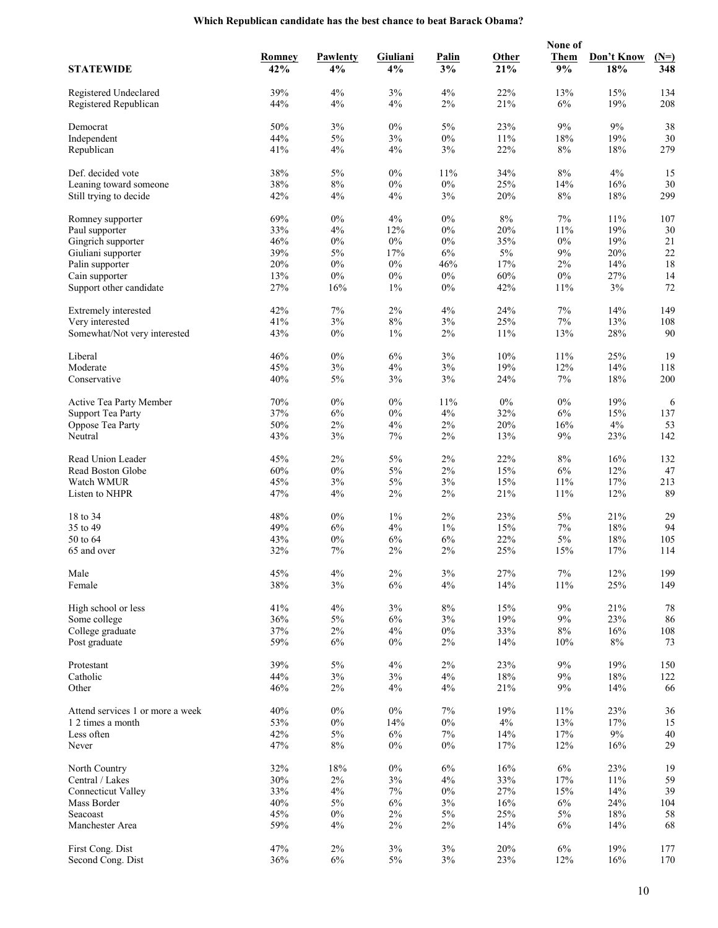|                                  |        |          |          |              |       | None of     |            |        |
|----------------------------------|--------|----------|----------|--------------|-------|-------------|------------|--------|
|                                  | Romney | Pawlenty | Giuliani | <b>Palin</b> | Other | <b>Them</b> | Don't Know | $(N=)$ |
| <b>STATEWIDE</b>                 | 42%    | 4%       | 4%       | 3%           | 21%   | 9%          | 18%        | 348    |
|                                  |        |          |          |              |       |             |            |        |
| Registered Undeclared            | 39%    | 4%       | 3%       | 4%           | 22%   | 13%         | 15%        | 134    |
| Registered Republican            | 44%    | 4%       | 4%       | 2%           | 21%   | 6%          | 19%        | 208    |
| Democrat                         | 50%    | 3%       | $0\%$    | $5\%$        | 23%   | $9\%$       | $9\%$      | 38     |
| Independent                      | 44%    | 5%       | 3%       | $0\%$        | 11%   | 18%         | 19%        | 30     |
| Republican                       | 41%    | 4%       | 4%       | 3%           | 22%   | $8\%$       | 18%        | 279    |
|                                  |        |          |          |              |       |             |            |        |
| Def. decided vote                | 38%    | $5\%$    | $0\%$    | 11%          | 34%   | $8\%$       | 4%         | 15     |
| Leaning toward someone           | 38%    | $8\%$    | $0\%$    | $0\%$        | 25%   | 14%         | 16%        | 30     |
| Still trying to decide           | 42%    | 4%       | 4%       | 3%           | 20%   | $8\%$       | 18%        | 299    |
|                                  |        |          |          |              |       |             |            |        |
| Romney supporter                 | 69%    | $0\%$    | 4%       | $0\%$        | $8\%$ | $7\%$       | 11%        | 107    |
| Paul supporter                   | 33%    | 4%       | 12%      | $0\%$        | 20%   | 11%         | 19%        | 30     |
| Gingrich supporter               | 46%    | $0\%$    | $0\%$    | $0\%$        | 35%   | $0\%$       | 19%        | $21\,$ |
| Giuliani supporter               | 39%    | $5\%$    | 17%      | 6%           | $5\%$ | 9%          | 20%        | 22     |
| Palin supporter                  | 20%    | $0\%$    | $0\%$    | 46%          | 17%   | $2\%$       | 14%        | 18     |
| Cain supporter                   | 13%    | $0\%$    | $0\%$    | $0\%$        | 60%   | $0\%$       | 27%        | 14     |
| Support other candidate          | 27%    | 16%      | $1\%$    | $0\%$        | 42%   | 11%         | 3%         | 72     |
|                                  |        |          |          |              |       |             |            |        |
| Extremely interested             | 42%    | 7%       | 2%       | 4%           | 24%   | 7%          | 14%        | 149    |
| Very interested                  | 41%    | 3%       | $8\%$    | 3%           | 25%   | 7%          | 13%        | 108    |
| Somewhat/Not very interested     | 43%    | $0\%$    | $1\%$    | $2\%$        | 11%   | 13%         | $28\%$     | 90     |
| Liberal                          | 46%    | $0\%$    | $6\%$    | 3%           | 10%   | 11%         | 25%        | 19     |
|                                  |        |          |          |              |       |             |            |        |
| Moderate                         | 45%    | 3%       | 4%       | 3%           | 19%   | 12%         | 14%        | 118    |
| Conservative                     | 40%    | 5%       | 3%       | 3%           | 24%   | 7%          | 18%        | 200    |
| Active Tea Party Member          | 70%    | $0\%$    | $0\%$    | 11%          | $0\%$ | $0\%$       | 19%        | 6      |
| <b>Support Tea Party</b>         | 37%    | 6%       | $0\%$    | 4%           | 32%   | 6%          | 15%        | 137    |
| Oppose Tea Party                 | 50%    | $2\%$    | 4%       | 2%           | 20%   | 16%         | $4\%$      | 53     |
| Neutral                          | 43%    | 3%       | 7%       | $2\%$        | 13%   | 9%          | 23%        | 142    |
|                                  |        |          |          |              |       |             |            |        |
| Read Union Leader                | 45%    | 2%       | $5\%$    | $2\%$        | 22%   | $8\%$       | 16%        | 132    |
| Read Boston Globe                | 60%    | $0\%$    | $5\%$    | $2\%$        | 15%   | 6%          | 12%        | 47     |
| Watch WMUR                       | 45%    | 3%       | $5\%$    | 3%           | 15%   | 11%         | 17%        | 213    |
| Listen to NHPR                   | 47%    | 4%       | 2%       | 2%           | 21%   | 11%         | 12%        | 89     |
|                                  |        |          |          |              |       |             |            |        |
| 18 to 34                         | 48%    | $0\%$    | $1\%$    | $2\%$        | 23%   | 5%          | 21%        | 29     |
| 35 to 49                         | 49%    | 6%       | 4%       | $1\%$        | 15%   | $7\%$       | 18%        | 94     |
| 50 to 64                         | 43%    | $0\%$    | 6%       | 6%           | 22%   | 5%          | 18%        | 105    |
| 65 and over                      | 32%    | 7%       | $2\%$    | 2%           | 25%   | 15%         | 17%        | 114    |
|                                  |        |          |          |              |       |             |            |        |
| Male                             | 45%    | 4%       | $2\%$    | $3\%$        | 27%   | $7\%$       | 12%        | 199    |
| Female                           | 38%    | 3%       | $6\%$    | 4%           | 14%   | 11%         | 25%        | 149    |
| High school or less              | 41%    | 4%       | 3%       | $8\%$        | 15%   | $9\%$       | 21%        | 78     |
| Some college                     | 36%    | $5\%$    | $6\%$    | 3%           | 19%   | 9%          | $23\%$     | 86     |
| College graduate                 | 37%    | $2\%$    | 4%       | $0\%$        | 33%   | $8\%$       | 16%        | 108    |
| Post graduate                    | 59%    | 6%       | $0\%$    | $2\%$        | 14%   | 10%         | 8%         | 73     |
|                                  |        |          |          |              |       |             |            |        |
| Protestant                       | 39%    | $5\%$    | 4%       | $2\%$        | 23%   | 9%          | 19%        | 150    |
| Catholic                         | 44%    | 3%       | 3%       | 4%           | 18%   | 9%          | 18%        | 122    |
| Other                            | 46%    | $2\%$    | 4%       | 4%           | 21%   | 9%          | 14%        | 66     |
|                                  |        |          |          |              |       |             |            |        |
| Attend services 1 or more a week | 40%    | $0\%$    | $0\%$    | 7%           | 19%   | 11%         | 23%        | 36     |
| 1 2 times a month                | 53%    | $0\%$    | 14%      | $0\%$        | $4\%$ | 13%         | 17%        | 15     |
| Less often                       | 42%    | $5\%$    | 6%       | $7\%$        | 14%   | 17%         | $9\%$      | $40\,$ |
| Never                            | 47%    | $8\%$    | $0\%$    | $0\%$        | 17%   | 12%         | 16%        | 29     |
|                                  |        |          |          |              |       | $6\%$       |            |        |
| North Country                    | 32%    | 18%      | $0\%$    | 6%           | 16%   |             | 23%        | 19     |
| Central / Lakes                  | 30%    | $2\%$    | $3\%$    | 4%           | 33%   | 17%         | $11\%$     | 59     |
| <b>Connecticut Valley</b>        | 33%    | 4%       | $7\%$    | $0\%$        | 27%   | 15%         | 14%        | 39     |
| Mass Border                      | 40%    | $5\%$    | 6%       | 3%           | 16%   | $6\%$       | 24%        | 104    |
| Seacoast                         | 45%    | $0\%$    | $2\%$    | 5%           | 25%   | 5%          | $18\%$     | 58     |
| Manchester Area                  | 59%    | 4%       | $2\%$    | $2\%$        | 14%   | 6%          | 14%        | 68     |
| First Cong. Dist                 | 47%    | $2\%$    | 3%       | 3%           | 20%   | $6\%$       | 19%        | 177    |
| Second Cong. Dist                | 36%    | 6%       | $5\%$    | $3\%$        | 23%   | 12%         | 16%        | 170    |
|                                  |        |          |          |              |       |             |            |        |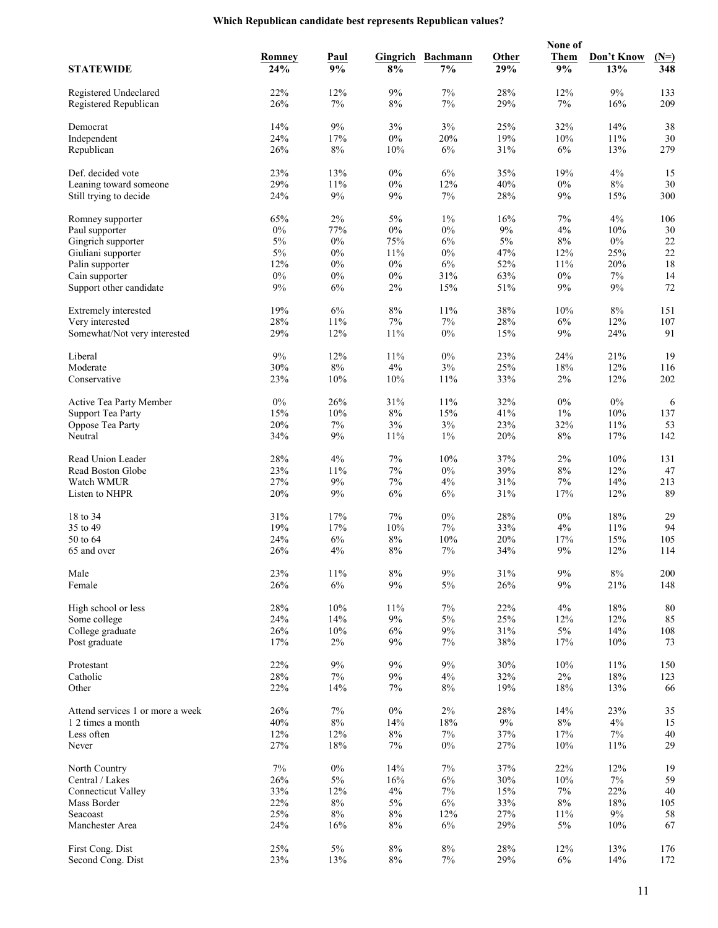## **Which Republican candidate best represents Republican values?**

|                                                  |              |               |                |                 |            | None of        |              |              |
|--------------------------------------------------|--------------|---------------|----------------|-----------------|------------|----------------|--------------|--------------|
|                                                  | Romney       | <b>Paul</b>   | Gingrich       | <b>Bachmann</b> | Other      | <b>Them</b>    | Don't Know   | $(N=)$       |
| <b>STATEWIDE</b>                                 | 24%          | 9%            | 8%             | 7%              | 29%        | 9%             | 13%          | 348          |
|                                                  |              |               |                |                 |            |                |              |              |
| Registered Undeclared<br>Registered Republican   | 22%<br>26%   | 12%<br>7%     | 9%<br>$8\%$    | 7%<br>7%        | 28%<br>29% | 12%<br>7%      | 9%<br>16%    | 133<br>209   |
|                                                  |              |               |                |                 |            |                |              |              |
| Democrat                                         | 14%          | $9\%$         | 3%             | 3%              | 25%        | 32%            | 14%          | 38           |
| Independent                                      | 24%          | 17%           | $0\%$          | 20%             | 19%        | 10%            | 11%          | 30           |
| Republican                                       | 26%          | $8\%$         | 10%            | 6%              | 31%        | 6%             | 13%          | 279          |
|                                                  |              |               |                |                 |            |                |              |              |
| Def. decided vote                                | 23%          | 13%           | $0\%$          | $6\%$           | 35%        | 19%            | 4%           | 15           |
| Leaning toward someone<br>Still trying to decide | 29%<br>24%   | 11%<br>9%     | $0\%$<br>9%    | 12%<br>7%       | 40%<br>28% | $0\%$<br>9%    | $8\%$<br>15% | 30<br>300    |
|                                                  |              |               |                |                 |            |                |              |              |
| Romney supporter                                 | 65%          | $2\%$         | $5\%$          | $1\%$           | 16%        | 7%             | 4%           | 106          |
| Paul supporter                                   | $0\%$        | 77%           | $0\%$          | $0\%$           | $9\%$      | 4%             | 10%          | 30           |
| Gingrich supporter                               | 5%           | $0\%$         | 75%            | 6%              | $5\%$      | $8\%$          | $0\%$        | $22\,$       |
| Giuliani supporter                               | $5\%$        | $0\%$         | 11%            | $0\%$           | 47%        | 12%            | 25%          | 22           |
| Palin supporter                                  | 12%          | $0\%$         | $0\%$          | $6\%$           | 52%        | 11%            | 20%          | 18           |
| Cain supporter                                   | $0\%$        | $0\%$         | $0\%$          | 31%             | 63%        | $0\%$          | 7%           | 14           |
| Support other candidate                          | 9%           | 6%            | 2%             | 15%             | 51%        | 9%             | 9%           | 72           |
| Extremely interested                             | 19%          | 6%            | $8\%$          | 11%             | 38%        | 10%            | $8\%$        | 151          |
| Very interested                                  | 28%          | 11%           | $7\%$          | 7%              | 28%        | 6%             | 12%          | 107          |
| Somewhat/Not very interested                     | 29%          | 12%           | 11%            | $0\%$           | 15%        | 9%             | 24%          | 91           |
|                                                  |              |               |                |                 |            |                |              |              |
| Liberal                                          | 9%           | 12%           | 11%            | $0\%$           | 23%        | 24%            | 21%          | 19           |
| Moderate                                         | 30%          | $8\%$         | 4%             | $3\%$           | 25%        | 18%            | 12%          | 116          |
| Conservative                                     | 23%          | 10%           | 10%            | 11%             | 33%        | 2%             | 12%          | 202          |
|                                                  |              |               |                |                 |            |                |              |              |
| Active Tea Party Member                          | $0\%$<br>15% | 26%<br>10%    | 31%<br>$8\%$   | 11%<br>15%      | 32%<br>41% | $0\%$<br>$1\%$ | $0\%$<br>10% | 6<br>137     |
| <b>Support Tea Party</b><br>Oppose Tea Party     | 20%          | $7\%$         | $3\%$          | $3\%$           | 23%        | 32%            | 11%          | 53           |
| Neutral                                          | 34%          | 9%            | 11%            | $1\%$           | 20%        | $8\%$          | 17%          | 142          |
|                                                  |              |               |                |                 |            |                |              |              |
| Read Union Leader                                | 28%          | 4%            | 7%             | 10%             | 37%        | 2%             | 10%          | 131          |
| Read Boston Globe                                | 23%          | 11%           | 7%             | $0\%$           | 39%        | $8\%$          | 12%          | 47           |
| Watch WMUR                                       | 27%          | $9\%$         | $7\%$          | 4%              | 31%        | 7%             | 14%          | 213          |
| Listen to NHPR                                   | 20%          | 9%            | 6%             | 6%              | 31%        | 17%            | 12%          | 89           |
|                                                  |              |               | 7%             |                 |            |                |              | 29           |
| 18 to 34<br>35 to 49                             | 31%<br>19%   | 17%<br>17%    | 10%            | $0\%$<br>7%     | 28%<br>33% | $0\%$<br>4%    | 18%<br>11%   | 94           |
| 50 to 64                                         | 24%          | 6%            | $8\%$          | 10%             | 20%        | 17%            | 15%          | 105          |
| 65 and over                                      | 26%          | 4%            | 8%             | 7%              | 34%        | 9%             | 12%          | 114          |
|                                                  |              |               |                |                 |            |                |              |              |
| Male                                             | 23%          | $11\%$        | $8\%$          | $9\%$           | 31%        | $9\%$          | $8\%$        | 200          |
| Female                                           | 26%          | $6\%$         | $9\%$          | 5%              | 26%        | 9%             | 21%          | 148          |
|                                                  |              |               |                |                 |            |                |              |              |
| High school or less                              | 28%          | 10%           | 11%            | 7%              | 22%        | 4%             | 18%          | 80           |
| Some college                                     | 24%          | 14%           | $9\%$          | $5\%$           | 25%        | 12%            | 12%          | 85           |
| College graduate<br>Post graduate                | 26%<br>17%   | 10%<br>$2\%$  | 6%<br>9%       | 9%<br>7%        | 31%<br>38% | $5\%$<br>17%   | 14%<br>10%   | 108<br>73    |
|                                                  |              |               |                |                 |            |                |              |              |
| Protestant                                       | 22%          | $9\%$         | 9%             | 9%              | 30%        | 10%            | 11%          | 150          |
| Catholic                                         | 28%          | $7\%$         | 9%             | 4%              | 32%        | $2\%$          | 18%          | 123          |
| Other                                            | 22%          | 14%           | 7%             | 8%              | 19%        | 18%            | 13%          | 66           |
|                                                  |              |               |                |                 |            |                |              |              |
| Attend services 1 or more a week                 | 26%          | 7%            | $0\%$          | 2%              | 28%        | 14%            | 23%          | 35           |
| 1 2 times a month                                | 40%          | $8\%$         | 14%            | 18%             | $9\%$      | $8\%$          | 4%           | 15           |
| Less often<br>Never                              | 12%<br>27%   | 12%<br>$18\%$ | $8\%$<br>7%    | 7%<br>$0\%$     | 37%<br>27% | 17%<br>10%     | 7%<br>11%    | $40\,$<br>29 |
|                                                  |              |               |                |                 |            |                |              |              |
| North Country                                    | 7%           | $0\%$         | 14%            | $7\%$           | 37%        | 22%            | 12%          | 19           |
| Central / Lakes                                  | 26%          | $5\%$         | 16%            | $6\%$           | 30%        | 10%            | $7\%$        | 59           |
| <b>Connecticut Valley</b>                        | 33%          | 12%           | 4%             | $7\%$           | 15%        | 7%             | 22%          | 40           |
| Mass Border                                      | 22%          | $8\%$         | 5%             | $6\%$           | 33%        | $8\%$          | 18%          | 105          |
| Seacoast                                         | 25%          | $8\%$         | $8\%$          | 12%             | 27%        | 11%            | 9%           | 58           |
| Manchester Area                                  | 24%          | 16%           | $8\%$          | 6%              | 29%        | $5\%$          | 10%          | 67           |
|                                                  |              |               |                |                 |            |                |              |              |
| First Cong. Dist<br>Second Cong. Dist            | 25%<br>23%   | $5\%$<br>13%  | $8\%$<br>$8\%$ | $8\%$<br>$7\%$  | 28%<br>29% | 12%<br>6%      | 13%<br>14%   | 176<br>172   |
|                                                  |              |               |                |                 |            |                |              |              |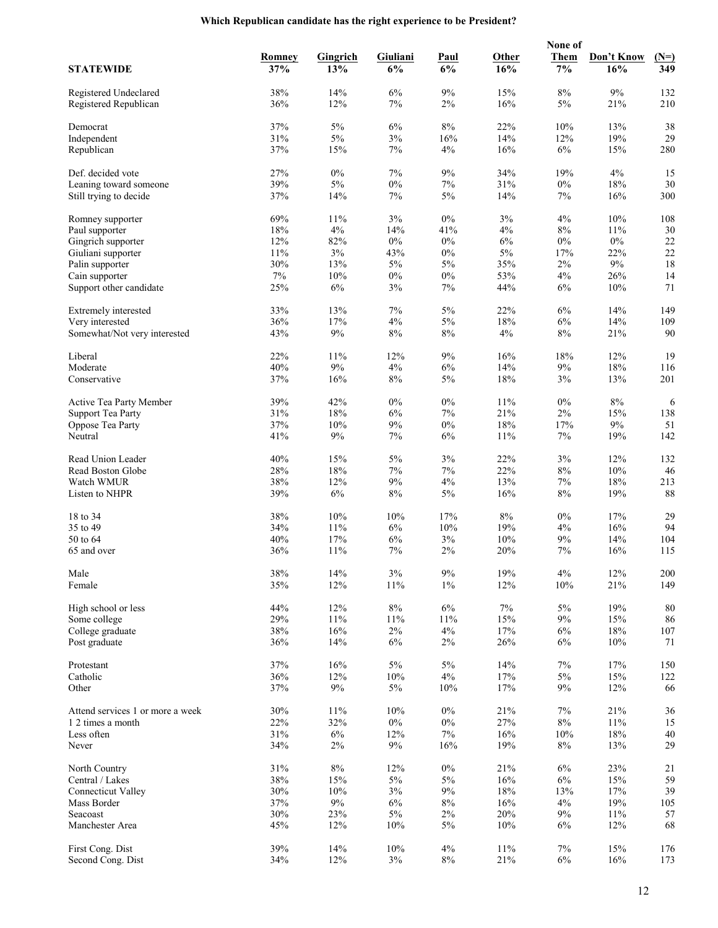|                                  |        |                 |          |             |        | None of     |            |        |
|----------------------------------|--------|-----------------|----------|-------------|--------|-------------|------------|--------|
|                                  | Romney | <b>Gingrich</b> | Giuliani | <b>Paul</b> | Other  | <b>Them</b> | Don't Know | $(N=)$ |
| <b>STATEWIDE</b>                 | 37%    | 13%             | 6%       | 6%          | 16%    | 7%          | 16%        | 349    |
|                                  |        |                 |          |             |        |             |            |        |
| Registered Undeclared            | 38%    | 14%             | 6%       | 9%          | 15%    | $8\%$       | $9\%$      | 132    |
| Registered Republican            | 36%    | 12%             | 7%       | $2\%$       | 16%    | 5%          | 21%        | 210    |
| Democrat                         | 37%    | $5\%$           | 6%       | $8\%$       | 22%    | 10%         | 13%        | 38     |
|                                  |        | $5\%$           |          | 16%         | 14%    |             | 19%        | 29     |
| Independent                      | 31%    |                 | 3%       |             |        | 12%         |            |        |
| Republican                       | 37%    | 15%             | 7%       | 4%          | 16%    | 6%          | 15%        | 280    |
| Def. decided vote                | 27%    | $0\%$           | 7%       | 9%          | 34%    | 19%         | 4%         | 15     |
| Leaning toward someone           | 39%    | $5\%$           | $0\%$    | 7%          | 31%    | $0\%$       | 18%        | 30     |
| Still trying to decide           | 37%    | 14%             | 7%       | 5%          | 14%    | 7%          | 16%        | 300    |
|                                  |        |                 |          |             |        |             |            |        |
| Romney supporter                 | 69%    | 11%             | 3%       | $0\%$       | 3%     | 4%          | 10%        | 108    |
| Paul supporter                   | $18\%$ | $4\%$           | 14%      | 41%         | 4%     | $8\%$       | 11%        | 30     |
| Gingrich supporter               | 12%    | 82%             | $0\%$    | $0\%$       | 6%     | $0\%$       | $0\%$      | $22\,$ |
| Giuliani supporter               | 11%    | $3\%$           | 43%      | $0\%$       | $5\%$  | 17%         | 22%        | 22     |
| Palin supporter                  | 30%    | 13%             | 5%       | $5\%$       | 35%    | 2%          | $9\%$      | 18     |
| Cain supporter                   | $7\%$  | 10%             | $0\%$    | $0\%$       | 53%    | 4%          | 26%        | 14     |
| Support other candidate          | 25%    | 6%              | 3%       | 7%          | 44%    | 6%          | 10%        | 71     |
|                                  |        |                 |          |             |        |             |            |        |
| Extremely interested             | 33%    | 13%             | 7%       | $5\%$       | 22%    | $6\%$       | 14%        | 149    |
| Very interested                  | 36%    | 17%             | 4%       | 5%          | 18%    | 6%          | 14%        | 109    |
| Somewhat/Not very interested     | 43%    | 9%              | 8%       | $8\%$       | 4%     | $8\%$       | 21%        | $90\,$ |
| Liberal                          | 22%    |                 |          | $9\%$       | 16%    | 18%         |            | 19     |
|                                  |        | 11%             | 12%      |             |        |             | 12%        |        |
| Moderate                         | $40\%$ | $9\%$           | 4%       | 6%          | 14%    | 9%          | 18%        | 116    |
| Conservative                     | 37%    | 16%             | 8%       | 5%          | 18%    | 3%          | 13%        | 201    |
| Active Tea Party Member          | 39%    | 42%             | $0\%$    | $0\%$       | 11%    | $0\%$       | $8\%$      | 6      |
| <b>Support Tea Party</b>         | 31%    | 18%             | 6%       | 7%          | 21%    | $2\%$       | 15%        | 138    |
| Oppose Tea Party                 | 37%    | 10%             | $9\%$    | $0\%$       | 18%    | 17%         | $9\%$      | 51     |
| Neutral                          | 41%    | 9%              | 7%       | 6%          | 11%    | 7%          | 19%        | 142    |
|                                  |        |                 |          |             |        |             |            |        |
| Read Union Leader                | 40%    | 15%             | 5%       | 3%          | 22%    | 3%          | 12%        | 132    |
| Read Boston Globe                | $28\%$ | $18\%$          | 7%       | 7%          | 22%    | $8\%$       | 10%        | 46     |
| Watch WMUR                       | 38%    | 12%             | 9%       | 4%          | 13%    | 7%          | 18%        | 213    |
| Listen to NHPR                   | 39%    | 6%              | 8%       | 5%          | 16%    | $8\%$       | 19%        | 88     |
|                                  |        |                 |          |             |        |             |            |        |
| 18 to 34                         | 38%    | 10%             | 10%      | 17%         | $8\%$  | $0\%$       | 17%        | 29     |
| 35 to 49                         | 34%    | 11%             | 6%       | 10%         | 19%    | 4%          | 16%        | 94     |
| 50 to 64                         | 40%    | 17%             | 6%       | 3%          | 10%    | 9%          | 14%        | 104    |
| 65 and over                      | 36%    | 11%             | 7%       | 2%          | 20%    | 7%          | 16%        | 115    |
| Male                             | $38\%$ | 14%             | 3%       | $9\%$       | 19%    | $4\%$       | 12%        | 200    |
| Female                           | 35%    | 12%             | 11%      | $1\%$       | 12%    | 10%         | 21%        | 149    |
|                                  |        |                 |          |             |        |             |            |        |
| High school or less              | 44%    | 12%             | $8\%$    | $6\%$       | $7\%$  | 5%          | 19%        | 80     |
| Some college                     | 29%    | 11%             | 11%      | 11%         | 15%    | 9%          | 15%        | 86     |
| College graduate                 | 38%    | 16%             | $2\%$    | 4%          | 17%    | 6%          | $18\%$     | 107    |
| Post graduate                    | 36%    | 14%             | 6%       | $2\%$       | 26%    | 6%          | 10%        | 71     |
|                                  |        |                 |          |             |        |             |            |        |
| Protestant                       | 37%    | $16\%$          | 5%       | $5\%$       | 14%    | 7%          | 17%        | 150    |
| Catholic                         | 36%    | 12%             | 10%      | $4\%$       | 17%    | 5%          | 15%        | 122    |
| Other                            | 37%    | 9%              | $5\%$    | 10%         | 17%    | 9%          | 12%        | 66     |
| Attend services 1 or more a week | 30%    | 11%             | 10%      | $0\%$       | 21%    | $7\%$       | 21%        | 36     |
| 1 2 times a month                | 22%    | 32%             | $0\%$    | $0\%$       | 27%    | $8\%$       | 11%        | 15     |
| Less often                       | 31%    | 6%              | 12%      | $7\%$       | 16%    | 10%         | 18%        | $40\,$ |
| Never                            | 34%    | $2\%$           | 9%       | 16%         | 19%    | $8\%$       | 13%        | 29     |
|                                  |        |                 |          |             |        |             |            |        |
| North Country                    | 31%    | $8\%$           | 12%      | $0\%$       | 21%    | 6%          | 23%        | 21     |
| Central / Lakes                  | 38%    | $15\%$          | $5\%$    | $5\%$       | $16\%$ | 6%          | $15\%$     | 59     |
| <b>Connecticut Valley</b>        | 30%    | 10%             | $3\%$    | $9\%$       | $18\%$ | 13%         | 17%        | 39     |
| Mass Border                      | 37%    | $9\%$           | 6%       | $8\%$       | 16%    | 4%          | 19%        | 105    |
| Seacoast                         | 30%    | 23%             | $5\%$    | $2\%$       | 20%    | 9%          | 11%        | 57     |
| Manchester Area                  | 45%    | 12%             | 10%      | $5\%$       | 10%    | 6%          | 12%        | 68     |
|                                  |        |                 |          |             |        |             |            |        |
| First Cong. Dist                 | 39%    | 14%             | 10%      | 4%          | 11%    | 7%          | 15%        | 176    |
| Second Cong. Dist                | 34%    | 12%             | 3%       | $8\%$       | $21\%$ | $6\%$       | 16%        | 173    |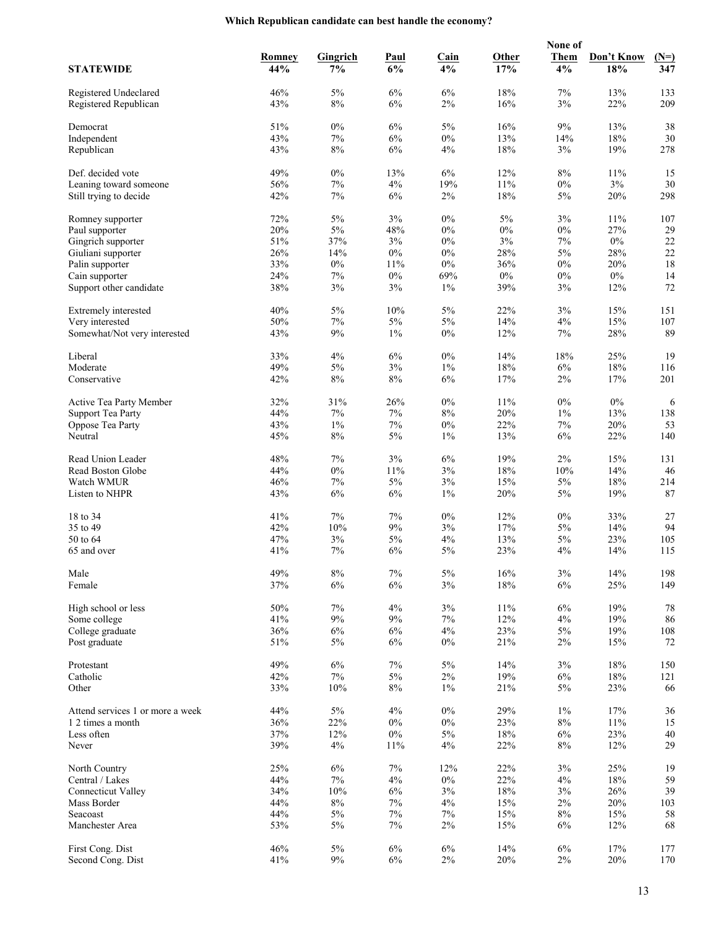## **Which Republican candidate can best handle the economy?**

|                                                |            |                 |             |              |            | None of        |               |            |
|------------------------------------------------|------------|-----------------|-------------|--------------|------------|----------------|---------------|------------|
|                                                | Romney     | <b>Gingrich</b> | <b>Paul</b> | <b>Cain</b>  | Other      | <b>Them</b>    | Don't Know    | $(N=)$     |
| <b>STATEWIDE</b>                               | 44%        | 7%              | 6%          | 4%           | 17%        | 4%             | 18%           | 347        |
|                                                |            |                 |             |              |            |                |               |            |
| Registered Undeclared<br>Registered Republican | 46%<br>43% | 5%<br>8%        | 6%<br>6%    | 6%<br>2%     | 18%<br>16% | 7%<br>3%       | 13%<br>22%    | 133<br>209 |
|                                                |            |                 |             |              |            |                |               |            |
| Democrat                                       | 51%        | $0\%$           | 6%          | $5\%$        | 16%        | $9\%$          | 13%           | 38         |
| Independent                                    | 43%        | $7\%$           | $6\%$       | $0\%$        | 13%        | 14%            | 18%           | 30         |
| Republican                                     | 43%        | 8%              | 6%          | 4%           | 18%        | 3%             | 19%           | 278        |
|                                                |            |                 |             |              |            |                |               |            |
| Def. decided vote                              | 49%        | $0\%$           | 13%         | $6\%$        | 12%        | $8\%$          | 11%           | 15         |
| Leaning toward someone                         | 56%<br>42% | 7%              | 4%          | 19%          | 11%<br>18% | $0\%$<br>$5\%$ | $3\%$         | 30<br>298  |
| Still trying to decide                         |            | 7%              | 6%          | $2\%$        |            |                | 20%           |            |
| Romney supporter                               | 72%        | 5%              | 3%          | $0\%$        | $5\%$      | 3%             | 11%           | 107        |
| Paul supporter                                 | 20%        | $5\%$           | 48%         | $0\%$        | $0\%$      | $0\%$          | 27%           | 29         |
| Gingrich supporter                             | 51%        | 37%             | 3%          | $0\%$        | 3%         | 7%             | $0\%$         | 22         |
| Giuliani supporter                             | 26%        | 14%             | $0\%$       | $0\%$        | 28%        | $5\%$          | 28%           | 22         |
| Palin supporter                                | 33%        | $0\%$           | 11%         | $0\%$        | 36%        | $0\%$          | 20%           | 18         |
| Cain supporter                                 | 24%        | 7%              | $0\%$       | 69%          | $0\%$      | $0\%$          | $0\%$         | 14         |
| Support other candidate                        | 38%        | 3%              | 3%          | $1\%$        | 39%        | 3%             | 12%           | 72         |
| Extremely interested                           | 40%        | 5%              | 10%         | $5\%$        | 22%        | 3%             | 15%           | 151        |
| Very interested                                | 50%        | 7%              | $5\%$       | 5%           | 14%        | 4%             | 15%           | 107        |
| Somewhat/Not very interested                   | 43%        | 9%              | $1\%$       | $0\%$        | 12%        | 7%             | 28%           | 89         |
|                                                |            |                 |             |              |            |                |               |            |
| Liberal                                        | 33%        | 4%              | $6\%$       | $0\%$        | 14%        | 18%            | 25%           | 19         |
| Moderate                                       | 49%        | 5%              | 3%          | $1\%$        | 18%        | 6%             | 18%           | 116        |
| Conservative                                   | 42%        | 8%              | $8\%$       | 6%           | 17%        | $2\%$          | 17%           | 201        |
|                                                |            |                 |             |              |            |                |               |            |
| Active Tea Party Member                        | 32%        | 31%             | 26%         | $0\%$        | 11%        | $0\%$          | $0\%$         | 6          |
| <b>Support Tea Party</b>                       | 44%        | 7%              | 7%          | $8\%$        | 20%        | $1\%$          | 13%           | 138        |
| Oppose Tea Party                               | 43%        | $1\%$           | $7\%$       | $0\%$        | 22%        | 7%             | 20%           | 53         |
| Neutral                                        | 45%        | 8%              | 5%          | $1\%$        | 13%        | 6%             | 22%           | 140        |
| Read Union Leader                              | 48%        | 7%              | 3%          | 6%           | 19%        | $2\%$          | 15%           | 131        |
| Read Boston Globe                              | 44%        | $0\%$           | 11%         | 3%           | $18\%$     | 10%            | 14%           | 46         |
| Watch WMUR                                     | 46%        | 7%              | $5\%$       | 3%           | 15%        | $5\%$          | 18%           | 214        |
| Listen to NHPR                                 | 43%        | 6%              | 6%          | $1\%$        | 20%        | 5%             | 19%           | 87         |
|                                                |            |                 |             |              |            |                |               |            |
| 18 to 34                                       | 41%        | 7%              | 7%          | $0\%$        | 12%        | $0\%$          | 33%           | 27         |
| 35 to 49                                       | 42%        | 10%             | 9%          | 3%           | 17%        | $5\%$          | 14%           | 94         |
| 50 to 64<br>65 and over                        | 47%<br>41% | 3%<br>7%        | 5%<br>6%    | 4%<br>5%     | 13%<br>23% | 5%<br>4%       | 23%<br>14%    | 105<br>115 |
|                                                |            |                 |             |              |            |                |               |            |
| Male                                           | 49%        | $8\%$           | $7\%$       | $5\%$        | 16%        | $3\%$          | 14%           | 198        |
| Female                                         | 37%        | 6%              | $6\%$       | 3%           | 18%        | 6%             | 25%           | 149        |
|                                                |            |                 |             |              |            |                |               |            |
| High school or less                            | 50%        | $7\%$           | 4%          | $3\%$        | 11%        | 6%             | 19%           | 78         |
| Some college                                   | 41%        | $9\%$           | 9%          | $7\%$        | 12%        | 4%             | 19%           | 86         |
| College graduate                               | 36%        | 6%              | 6%          | 4%           | 23%        | $5\%$          | 19%           | 108        |
| Post graduate                                  | 51%        | $5\%$           | 6%          | $0\%$        | 21%        | $2\%$          | 15%           | 72         |
| Protestant                                     | 49%        | 6%              | $7\%$       | $5\%$        | 14%        | 3%             | 18%           | 150        |
| Catholic                                       | 42%        | $7\%$           | 5%          | $2\%$        | 19%        | 6%             | 18%           | 121        |
| Other                                          | 33%        | $10\%$          | $8\%$       | $1\%$        | 21%        | 5%             | 23%           | 66         |
|                                                |            |                 |             |              |            |                |               |            |
| Attend services 1 or more a week               | 44%        | $5\%$           | 4%          | $0\%$        | 29%        | $1\%$          | 17%           | 36         |
| 1 2 times a month                              | 36%        | 22%             | $0\%$       | $0\%$        | 23%        | $8\%$          | 11%           | 15         |
| Less often                                     | 37%        | 12%             | $0\%$       | $5\%$        | 18%        | 6%             | 23%           | $40\,$     |
| Never                                          | 39%        | $4\%$           | $11\%$      | 4%           | 22%        | $8\%$          | 12%           | 29         |
|                                                |            |                 |             |              |            |                |               |            |
| North Country<br>Central / Lakes               | 25%<br>44% | 6%<br>$7\%$     | $7\%$<br>4% | 12%<br>$0\%$ | 22%<br>22% | 3%<br>4%       | 25%<br>$18\%$ | 19<br>59   |
| <b>Connecticut Valley</b>                      | 34%        | $10\%$          | 6%          | 3%           | $18\%$     | 3%             | 26%           | 39         |
| Mass Border                                    | 44%        | $8\%$           | $7\%$       | 4%           | 15%        | 2%             | 20%           | 103        |
| Seacoast                                       | 44%        | $5\%$           | $7\%$       | 7%           | 15%        | $8\%$          | 15%           | 58         |
| Manchester Area                                | 53%        | $5\%$           | $7\%$       | $2\%$        | 15%        | 6%             | 12%           | 68         |
|                                                |            |                 |             |              |            |                |               |            |
| First Cong. Dist                               | 46%        | $5\%$           | $6\%$       | $6\%$        | 14%        | $6\%$          | 17%           | 177        |
| Second Cong. Dist                              | 41%        | $9\%$           | $6\%$       | $2\%$        | 20%        | $2\%$          | $20\%$        | 170        |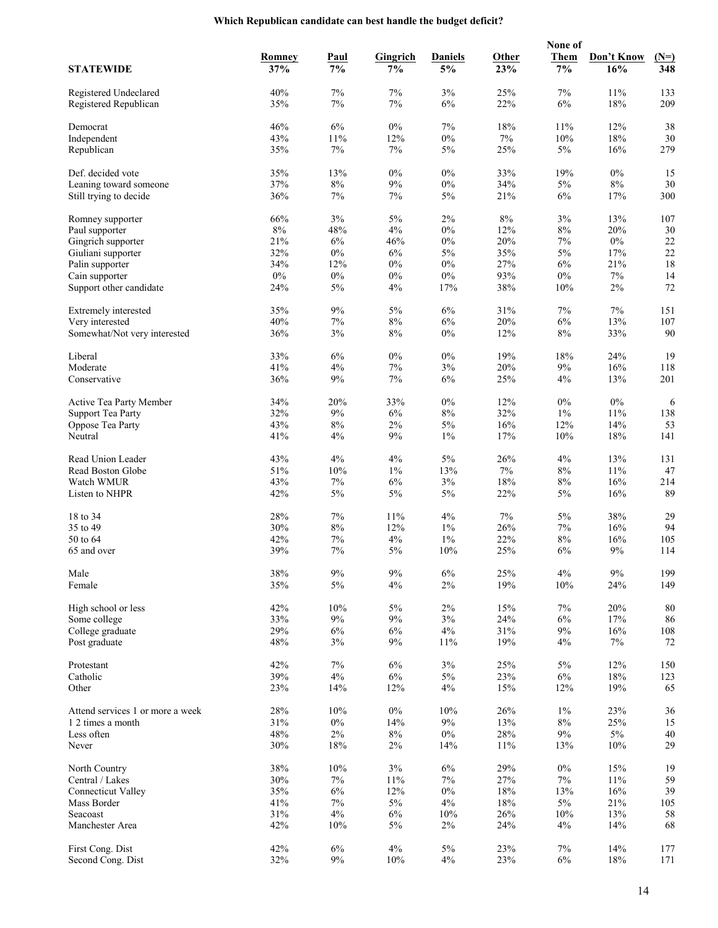## **Which Republican candidate can best handle the budget deficit?**

|                                                |            |              |                 |                |              | None of        |            |              |
|------------------------------------------------|------------|--------------|-----------------|----------------|--------------|----------------|------------|--------------|
|                                                | Romney     | <b>Paul</b>  | <b>Gingrich</b> | <b>Daniels</b> | <b>Other</b> | <b>Them</b>    | Don't Know | $(N=)$       |
| <b>STATEWIDE</b>                               | 37%        | 7%           | 7%              | 5%             | 23%          | 7%             | 16%        | 348          |
|                                                |            |              |                 |                |              |                |            |              |
| Registered Undeclared<br>Registered Republican | 40%<br>35% | 7%<br>7%     | 7%<br>$7\%$     | 3%<br>6%       | 25%<br>22%   | 7%<br>6%       | 11%<br>18% | 133<br>209   |
|                                                |            |              |                 |                |              |                |            |              |
| Democrat                                       | 46%        | $6\%$        | $0\%$           | $7\%$          | 18%          | 11%            | 12%        | 38           |
| Independent                                    | 43%        | 11%          | 12%             | $0\%$          | 7%           | 10%            | 18%        | 30           |
| Republican                                     | 35%        | 7%           | 7%              | 5%             | 25%          | 5%             | 16%        | 279          |
|                                                |            |              |                 |                |              |                |            |              |
| Def. decided vote                              | 35%        | 13%          | $0\%$           | $0\%$          | 33%          | 19%            | $0\%$      | 15           |
| Leaning toward someone                         | 37%        | 8%           | 9%              | $0\%$          | 34%          | 5%             | $8\%$      | 30           |
| Still trying to decide                         | 36%        | 7%           | $7\%$           | 5%             | 21%          | 6%             | 17%        | 300          |
| Romney supporter                               | 66%        | 3%           | $5\%$           | $2\%$          | $8\%$        | 3%             | 13%        | 107          |
| Paul supporter                                 | $8\%$      | 48%          | 4%              | $0\%$          | 12%          | $8\%$          | 20%        | 30           |
| Gingrich supporter                             | 21%        | 6%           | 46%             | $0\%$          | 20%          | 7%             | $0\%$      | $22\,$       |
| Giuliani supporter                             | 32%        | $0\%$        | 6%              | $5\%$          | 35%          | $5\%$          | 17%        | 22           |
| Palin supporter                                | 34%        | 12%          | $0\%$           | $0\%$          | 27%          | 6%             | 21%        | 18           |
| Cain supporter                                 | $0\%$      | $0\%$        | $0\%$           | $0\%$          | 93%          | $0\%$          | $7\%$      | 14           |
| Support other candidate                        | 24%        | 5%           | 4%              | 17%            | 38%          | 10%            | $2\%$      | 72           |
| Extremely interested                           | 35%        | 9%           | 5%              | $6\%$          | 31%          | 7%             | 7%         | 151          |
| Very interested                                | $40\%$     | 7%           | $8\%$           | 6%             | 20%          | 6%             | 13%        | 107          |
| Somewhat/Not very interested                   | 36%        | 3%           | $8\%$           | $0\%$          | 12%          | $8\%$          | 33%        | 90           |
|                                                |            |              |                 |                |              |                |            |              |
| Liberal                                        | 33%        | 6%           | $0\%$           | $0\%$          | 19%          | 18%            | 24%        | 19           |
| Moderate                                       | 41%        | 4%           | $7\%$           | 3%             | 20%          | 9%             | 16%        | 118          |
| Conservative                                   | 36%        | 9%           | 7%              | 6%             | 25%          | 4%             | 13%        | 201          |
|                                                |            |              |                 |                |              |                |            |              |
| Active Tea Party Member                        | 34%        | 20%          | 33%             | $0\%$          | 12%          | $0\%$          | $0\%$      | 6            |
| <b>Support Tea Party</b><br>Oppose Tea Party   | 32%<br>43% | 9%<br>$8\%$  | 6%<br>$2\%$     | $8\%$<br>$5\%$ | 32%<br>16%   | $1\%$<br>12%   | 11%<br>14% | 138<br>53    |
| Neutral                                        | 41%        | 4%           | 9%              | $1\%$          | 17%          | 10%            | 18%        | 141          |
|                                                |            |              |                 |                |              |                |            |              |
| Read Union Leader                              | 43%        | 4%           | 4%              | $5\%$          | 26%          | 4%             | 13%        | 131          |
| Read Boston Globe                              | 51%        | 10%          | $1\%$           | 13%            | 7%           | $8\%$          | 11%        | 47           |
| Watch WMUR                                     | 43%        | 7%           | 6%              | 3%             | 18%          | $8\%$          | 16%        | 214          |
| Listen to NHPR                                 | 42%        | 5%           | $5\%$           | $5\%$          | 22%          | 5%             | 16%        | 89           |
|                                                |            |              |                 |                |              |                |            |              |
| 18 to 34<br>35 to 49                           | 28%<br>30% | 7%<br>$8\%$  | 11%<br>12%      | 4%<br>$1\%$    | 7%<br>26%    | 5%<br>7%       | 38%<br>16% | 29<br>94     |
| 50 to 64                                       | 42%        | 7%           | 4%              | $1\%$          | 22%          | $8\%$          | 16%        | 105          |
| 65 and over                                    | 39%        | 7%           | 5%              | 10%            | 25%          | 6%             | 9%         | 114          |
|                                                |            |              |                 |                |              |                |            |              |
| Male                                           | $38\%$     | $9\%$        | $9\%$           | $6\%$          | 25%          | $4\%$          | $9\%$      | 199          |
| Female                                         | 35%        | 5%           | 4%              | $2\%$          | 19%          | 10%            | 24%        | 149          |
|                                                |            |              |                 |                |              |                |            |              |
| High school or less                            | 42%        | 10%          | $5\%$           | $2\%$          | 15%          | 7%             | 20%        | 80           |
| Some college<br>College graduate               | 33%<br>29% | $9\%$<br>6%  | $9\%$<br>6%     | $3\%$<br>$4\%$ | 24%<br>31%   | 6%<br>9%       | 17%<br>16% | 86<br>108    |
| Post graduate                                  | 48%        | 3%           | 9%              | 11%            | 19%          | 4%             | $7\%$      | 72           |
|                                                |            |              |                 |                |              |                |            |              |
| Protestant                                     | 42%        | $7\%$        | 6%              | 3%             | 25%          | $5\%$          | 12%        | 150          |
| Catholic                                       | 39%        | $4\%$        | $6\%$           | 5%             | 23%          | $6\%$          | 18%        | 123          |
| Other                                          | 23%        | 14%          | 12%             | 4%             | 15%          | 12%            | 19%        | 65           |
|                                                |            |              |                 |                |              |                |            |              |
| Attend services 1 or more a week               | 28%<br>31% | 10%<br>$0\%$ | $0\%$           | 10%<br>$9\%$   | 26%          | $1\%$<br>$8\%$ | 23%<br>25% | 36           |
| 1 2 times a month<br>Less often                | 48%        | $2\%$        | 14%<br>$8\%$    | $0\%$          | 13%<br>28%   | $9\%$          | $5\%$      | 15<br>$40\,$ |
| Never                                          | 30%        | $18\%$       | $2\%$           | 14%            | 11%          | 13%            | 10%        | 29           |
|                                                |            |              |                 |                |              |                |            |              |
| North Country                                  | 38%        | 10%          | 3%              | $6\%$          | 29%          | $0\%$          | 15%        | 19           |
| Central / Lakes                                | 30%        | $7\%$        | 11%             | $7\%$          | 27%          | 7%             | 11%        | 59           |
| <b>Connecticut Valley</b>                      | 35%        | $6\%$        | 12%             | $0\%$          | 18%          | 13%            | 16%        | 39           |
| Mass Border                                    | 41%        | $7\%$        | 5%              | 4%             | 18%          | 5%             | 21%        | 105          |
| Seacoast                                       | 31%        | 4%           | $6\%$           | 10%            | 26%          | 10%            | 13%        | 58           |
| Manchester Area                                | 42%        | 10%          | $5\%$           | $2\%$          | 24%          | 4%             | 14%        | 68           |
| First Cong. Dist                               | 42%        | 6%           | 4%              | 5%             | 23%          | 7%             | 14%        | 177          |
| Second Cong. Dist                              | 32%        | $9\%$        | 10%             | 4%             | 23%          | 6%             | $18\%$     | 171          |
|                                                |            |              |                 |                |              |                |            |              |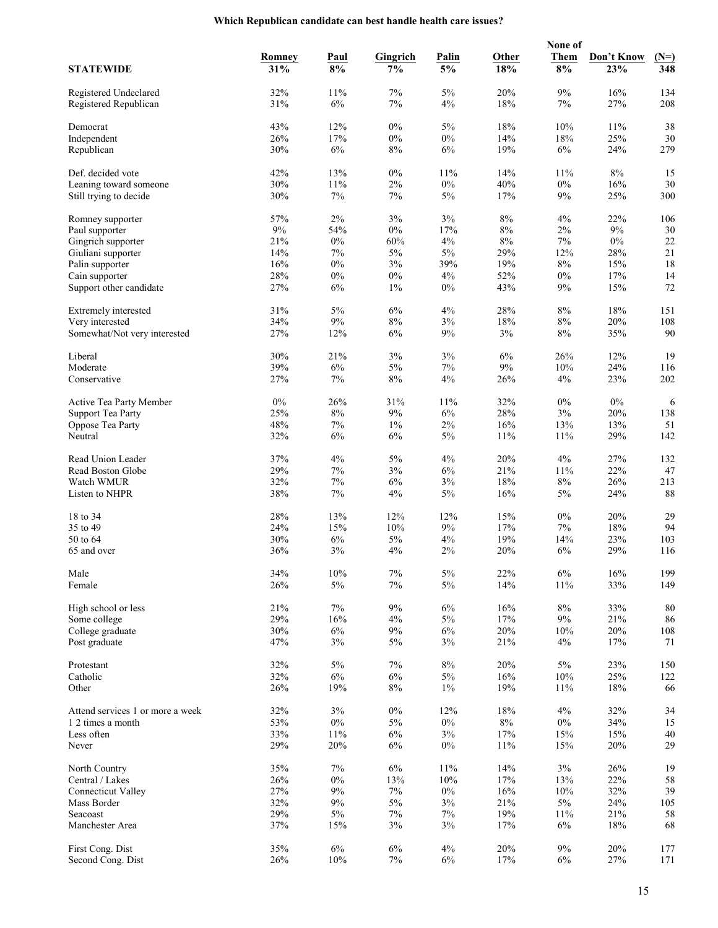## **Which Republican candidate can best handle health care issues?**

|                                  |            |             |                 |              |            | None of     |            |           |
|----------------------------------|------------|-------------|-----------------|--------------|------------|-------------|------------|-----------|
|                                  | Romney     | <b>Paul</b> | <b>Gingrich</b> | <b>Palin</b> | Other      | <b>Them</b> | Don't Know | $(N=)$    |
| <b>STATEWIDE</b>                 | 31%        | 8%          | 7%              | 5%           | 18%        | 8%          | 23%        | 348       |
| Registered Undeclared            | 32%        | 11%         | 7%              | 5%           | 20%        | $9\%$       | 16%        | 134       |
| Registered Republican            | 31%        | 6%          | 7%              | 4%           | 18%        | 7%          | 27%        | 208       |
|                                  |            |             |                 |              |            |             |            |           |
| Democrat                         | 43%        | 12%         | $0\%$           | $5\%$        | 18%        | 10%         | 11%        | 38        |
| Independent                      | 26%        | 17%         | $0\%$           | $0\%$        | 14%        | 18%         | 25%        | 30        |
| Republican                       | 30%        | 6%          | $8\%$           | 6%           | 19%        | 6%          | 24%        | 279       |
|                                  |            |             |                 |              |            |             |            |           |
| Def. decided vote                | 42%        | 13%         | $0\%$           | 11%          | 14%        | 11%         | $8\%$      | 15        |
| Leaning toward someone           | 30%        | 11%         | $2\%$           | $0\%$        | 40%        | $0\%$       | 16%        | 30        |
| Still trying to decide           | 30%        | 7%          | 7%              | 5%           | 17%        | 9%          | 25%        | 300       |
| Romney supporter                 | 57%        | $2\%$       | 3%              | $3\%$        | $8\%$      | 4%          | 22%        | 106       |
| Paul supporter                   | 9%         | 54%         | $0\%$           | 17%          | $8\%$      | $2\%$       | $9\%$      | 30        |
| Gingrich supporter               | 21%        | $0\%$       | 60%             | 4%           | $8\%$      | 7%          | $0\%$      | 22        |
| Giuliani supporter               | 14%        | $7\%$       | $5\%$           | $5\%$        | 29%        | 12%         | 28%        | 21        |
| Palin supporter                  | 16%        | $0\%$       | 3%              | 39%          | 19%        | $8\%$       | 15%        | 18        |
| Cain supporter                   | 28%        | $0\%$       | $0\%$           | 4%           | 52%        | $0\%$       | 17%        | 14        |
| Support other candidate          | 27%        | 6%          | $1\%$           | $0\%$        | 43%        | 9%          | 15%        | 72        |
|                                  |            |             |                 |              |            |             |            |           |
| Extremely interested             | 31%        | 5%          | 6%              | 4%           | 28%        | $8\%$       | 18%        | 151       |
| Very interested                  | 34%        | $9\%$       | $8\%$           | 3%           | 18%        | $8\%$       | 20%        | 108       |
| Somewhat/Not very interested     | 27%        | 12%         | 6%              | 9%           | 3%         | $8\%$       | 35%        | 90        |
|                                  |            |             |                 |              |            |             |            |           |
| Liberal                          | 30%        | 21%         | 3%              | 3%           | 6%         | 26%         | 12%        | 19        |
| Moderate                         | 39%        | $6\%$       | 5%              | 7%           | $9\%$      | 10%         | 24%        | 116       |
| Conservative                     | 27%        | 7%          | $8\%$           | 4%           | 26%        | $4\%$       | 23%        | 202       |
| Active Tea Party Member          | $0\%$      | 26%         | 31%             | 11%          | 32%        | $0\%$       | $0\%$      | 6         |
| <b>Support Tea Party</b>         | 25%        | $8\%$       | 9%              | 6%           | 28%        | 3%          | 20%        | 138       |
| Oppose Tea Party                 | 48%        | 7%          | $1\%$           | 2%           | 16%        | 13%         | 13%        | 51        |
| Neutral                          | 32%        | 6%          | 6%              | $5\%$        | 11%        | 11%         | 29%        | 142       |
|                                  |            |             |                 |              |            |             |            |           |
| Read Union Leader                | 37%        | 4%          | $5\%$           | 4%           | 20%        | 4%          | 27%        | 132       |
| Read Boston Globe                | 29%        | 7%          | 3%              | 6%           | 21%        | 11%         | 22%        | 47        |
| Watch WMUR                       | 32%        | $7\%$       | 6%              | 3%           | 18%        | $8\%$       | 26%        | 213       |
| Listen to NHPR                   | 38%        | 7%          | 4%              | $5\%$        | 16%        | 5%          | 24%        | 88        |
|                                  |            |             |                 |              |            |             |            |           |
| 18 to 34                         | 28%        | 13%         | 12%             | 12%          | 15%        | $0\%$       | 20%        | 29        |
| 35 to 49<br>50 to 64             | 24%<br>30% | 15%<br>6%   | 10%<br>5%       | 9%<br>4%     | 17%<br>19% | 7%<br>14%   | 18%<br>23% | 94<br>103 |
| 65 and over                      | 36%        | 3%          | 4%              | 2%           | 20%        | 6%          | 29%        | 116       |
|                                  |            |             |                 |              |            |             |            |           |
| Male                             | 34%        | $10\%$      | $7\%$           | $5\%$        | 22%        | $6\%$       | 16%        | 199       |
| Female                           | 26%        | $5\%$       | $7\%$           | $5\%$        | 14%        | 11%         | 33%        | 149       |
|                                  |            |             |                 |              |            |             |            |           |
| High school or less              | 21%        | $7\%$       | $9\%$           | $6\%$        | 16%        | $8\%$       | 33%        | 80        |
| Some college                     | 29%        | 16%         | 4%              | 5%           | 17%        | 9%          | 21%        | 86        |
| College graduate                 | 30%        | $6\%$       | 9%              | 6%           | 20%        | 10%         | 20%        | 108       |
| Post graduate                    | 47%        | 3%          | $5\%$           | 3%           | 21%        | 4%          | 17%        | 71        |
|                                  |            |             |                 |              |            |             |            |           |
| Protestant                       | 32%        | $5\%$       | 7%              | $8\%$        | 20%        | 5%          | 23%        | 150       |
| Catholic                         | 32%        | $6\%$       | $6\%$           | $5\%$        | 16%        | 10%         | 25%        | 122       |
| Other                            | 26%        | 19%         | $8\%$           | $1\%$        | 19%        | 11%         | $18\%$     | 66        |
| Attend services 1 or more a week | 32%        | $3\%$       | $0\%$           | 12%          | 18%        | 4%          | 32%        | 34        |
| 1 2 times a month                | 53%        | $0\%$       | $5\%$           | $0\%$        | $8\%$      | $0\%$       | 34%        | 15        |
| Less often                       | 33%        | 11%         | 6%              | 3%           | 17%        | 15%         | 15%        | 40        |
| Never                            | 29%        | 20%         | $6\%$           | $0\%$        | 11%        | 15%         | $20\%$     | 29        |
|                                  |            |             |                 |              |            |             |            |           |
| North Country                    | 35%        | 7%          | 6%              | 11%          | 14%        | 3%          | 26%        | 19        |
| Central / Lakes                  | 26%        | $0\%$       | 13%             | $10\%$       | 17%        | 13%         | 22%        | 58        |
| <b>Connecticut Valley</b>        | 27%        | $9\%$       | $7\%$           | $0\%$        | 16%        | 10%         | 32%        | 39        |
| Mass Border                      | 32%        | 9%          | $5\%$           | 3%           | 21%        | 5%          | 24%        | 105       |
| Seacoast                         | 29%        | 5%          | 7%              | 7%           | 19%        | 11%         | 21%        | 58        |
| Manchester Area                  | 37%        | 15%         | 3%              | 3%           | 17%        | $6\%$       | $18\%$     | 68        |
|                                  |            |             |                 |              |            |             |            |           |
| First Cong. Dist                 | 35%        | 6%          | $6\%$           | 4%           | 20%        | 9%          | 20%        | 177       |
| Second Cong. Dist                | 26%        | $10\%$      | 7%              | 6%           | 17%        | 6%          | 27%        | 171       |